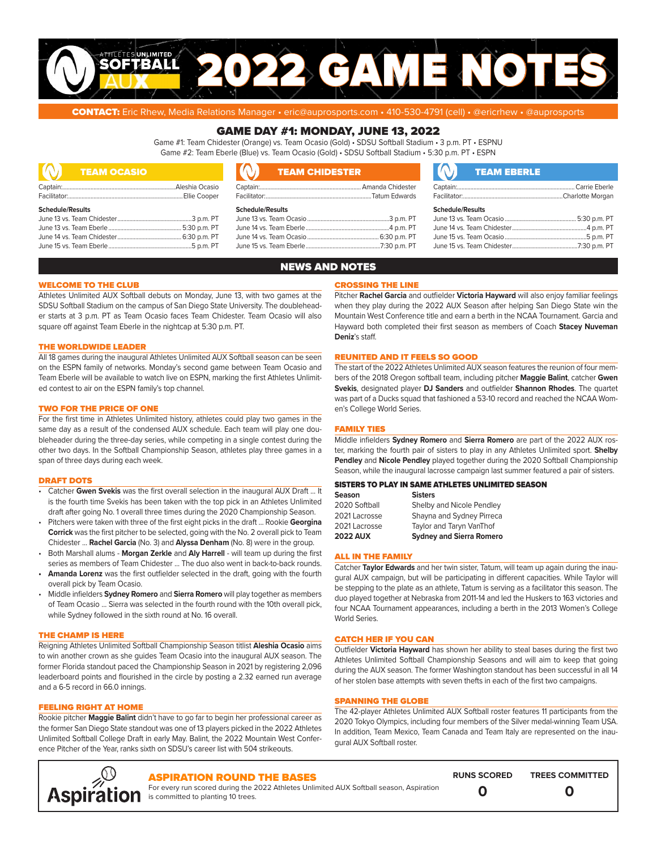

CONTACT: Eric Rhew, Media Relations Manager • eric@auprosports.com • 410-530-4791 (cell) • @ericrhew • @auprosports

## GAME DAY #1: MONDAY, JUNE 13, 2022

Game #1: Team Chidester (Orange) vs. Team Ocasio (Gold) • SDSU Softball Stadium • 3 p.m. PT • ESPNU Game #2: Team Eberle (Blue) vs. Team Ocasio (Gold) • SDSU Softball Stadium • 5:30 p.m. PT • ESPN

| IO.<br><b>TEAM OCASIO</b><br><u> Anglický politik (* 1938)</u> | <b>TEAM CHIDESTER</b>   | <b>TEAM EBERLE</b>      |
|----------------------------------------------------------------|-------------------------|-------------------------|
|                                                                |                         |                         |
|                                                                |                         |                         |
| <b>Schedule/Results</b>                                        | <b>Schedule/Results</b> | <b>Schedule/Results</b> |
|                                                                |                         |                         |
|                                                                |                         |                         |
|                                                                |                         |                         |
|                                                                |                         |                         |

## NEWS AND NOTES

## WELCOME TO THE CLUB

Athletes Unlimited AUX Softball debuts on Monday, June 13, with two games at the SDSU Softball Stadium on the campus of San Diego State University. The doubleheader starts at 3 p.m. PT as Team Ocasio faces Team Chidester. Team Ocasio will also square off against Team Eberle in the nightcap at 5:30 p.m. PT.

## THE WORLDWIDE LEADER

All 18 games during the inaugural Athletes Unlimited AUX Softball season can be seen on the ESPN family of networks. Monday's second game between Team Ocasio and Team Eberle will be available to watch live on ESPN, marking the first Athletes Unlimited contest to air on the ESPN family's top channel.

## TWO FOR THE PRICE OF ONE

For the first time in Athletes Unlimited history, athletes could play two games in the same day as a result of the condensed AUX schedule. Each team will play one doubleheader during the three-day series, while competing in a single contest during the other two days. In the Softball Championship Season, athletes play three games in a span of three days during each week.

#### DRAFT DOTS

- Catcher **Gwen Svekis** was the first overall selection in the inaugural AUX Draft ... It is the fourth time Svekis has been taken with the top pick in an Athletes Unlimited draft after going No. 1 overall three times during the 2020 Championship Season.
- Pitchers were taken with three of the first eight picks in the draft ... Rookie **Georgina Corrick** was the first pitcher to be selected, going with the No. 2 overall pick to Team Chidester ... **Rachel Garcia** (No. 3) and **Alyssa Denham** (No. 8) were in the group.
- Both Marshall alums **Morgan Zerkle** and **Aly Harrell** will team up during the first series as members of Team Chidester ... The duo also went in back-to-back rounds.
- **• Amanda Lorenz** was the first outfielder selected in the draft, going with the fourth overall pick by Team Ocasio.
- Middle infielders **Sydney Romero** and **Sierra Romero** will play together as members of Team Ocasio ... Sierra was selected in the fourth round with the 10th overall pick, while Sydney followed in the sixth round at No. 16 overall.

## THE CHAMP IS HERE

Reigning Athletes Unlimited Softball Championship Season titlist **Aleshia Ocasio** aims to win another crown as she guides Team Ocasio into the inaugural AUX season. The former Florida standout paced the Championship Season in 2021 by registering 2,096 leaderboard points and flourished in the circle by posting a 2.32 earned run average and a 6-5 record in 66.0 innings.

## FEELING RIGHT AT HOME

Rookie pitcher **Maggie Balint** didn't have to go far to begin her professional career as the former San Diego State standout was one of 13 players picked in the 2022 Athletes Unlimited Softball College Draft in early May. Balint, the 2022 Mountain West Conference Pitcher of the Year, ranks sixth on SDSU's career list with 504 strikeouts.

## CROSSING THE LINE

Pitcher **Rachel Garcia** and outfielder **Victoria Hayward** will also enjoy familiar feelings when they play during the 2022 AUX Season after helping San Diego State win the Mountain West Conference title and earn a berth in the NCAA Tournament. Garcia and Hayward both completed their first season as members of Coach **Stacey Nuveman Deniz**'s staff.

## REUNITED AND IT FEELS SO GOOD

The start of the 2022 Athletes Unlimited AUX season features the reunion of four members of the 2018 Oregon softball team, including pitcher **Maggie Balint**, catcher **Gwen Svekis**, designated player **DJ Sanders** and outfielder **Shannon Rhodes**. The quartet was part of a Ducks squad that fashioned a 53-10 record and reached the NCAA Women's College World Series.

## FAMILY TIES

Middle infielders **Sydney Romero** and **Sierra Romero** are part of the 2022 AUX roster, marking the fourth pair of sisters to play in any Athletes Unlimited sport. **Shelby Pendley** and **Nicole Pendley** played together during the 2020 Softball Championship Season, while the inaugural lacrosse campaign last summer featured a pair of sisters.

## SISTERS TO PLAY IN SAME ATHLETES UNLIMITED SEASON

| <b>Season</b>   | <b>Sisters</b>                  |
|-----------------|---------------------------------|
| 2020 Softball   | Shelby and Nicole Pendley       |
| 2021 Lacrosse   | Shayna and Sydney Pirreca       |
| 2021 Lacrosse   | Taylor and Taryn VanThof        |
| <b>2022 AUX</b> | <b>Sydney and Sierra Romero</b> |

## ALL IN THE FAMILY

Catcher **Taylor Edwards** and her twin sister, Tatum, will team up again during the inaugural AUX campaign, but will be participating in different capacities. While Taylor will be stepping to the plate as an athlete, Tatum is serving as a facilitator this season. The duo played together at Nebraska from 2011-14 and led the Huskers to 163 victories and four NCAA Tournament appearances, including a berth in the 2013 Women's College World Series.

#### CATCH HER IF YOU CAN

Outfielder **Victoria Hayward** has shown her ability to steal bases during the first two Athletes Unlimited Softball Championship Seasons and will aim to keep that going during the AUX season. The former Washington standout has been successful in all 14 of her stolen base attempts with seven thefts in each of the first two campaigns.

## SPANNING THE GLOBE

The 42-player Athletes Unlimited AUX Softball roster features 11 participants from the 2020 Tokyo Olympics, including four members of the Silver medal-winning Team USA. In addition, Team Mexico, Team Canada and Team Italy are represented on the inaugural AUX Softball roster.



## ASPIRATION ROUND THE BASES

For every run scored during the 2022 Athletes Unlimited AUX Softball season, Aspiration is committed to planting 10 trees.

**RUNS SCORED TREES COMMITTED 0 0**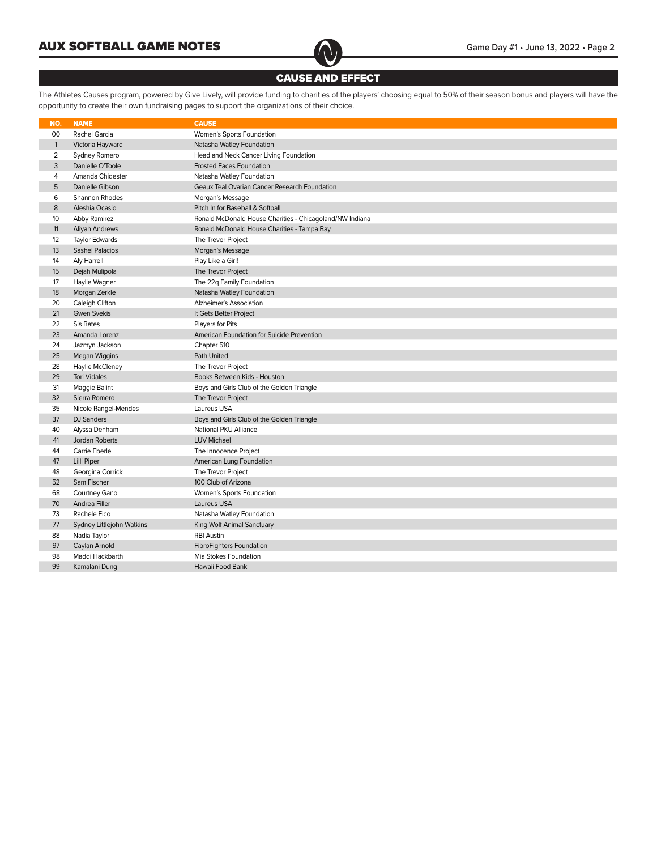

## CAUSE AND EFFECT

The Athletes Causes program, powered by Give Lively, will provide funding to charities of the players' choosing equal to 50% of their season bonus and players will have the opportunity to create their own fundraising pages to support the organizations of their choice.

| NO.            | <b>NAME</b>               | <b>CAUSE</b>                                             |
|----------------|---------------------------|----------------------------------------------------------|
| 00             | Rachel Garcia             | Women's Sports Foundation                                |
| $\mathbf{1}$   | Victoria Hayward          | Natasha Watley Foundation                                |
| $\overline{2}$ | Sydney Romero             | Head and Neck Cancer Living Foundation                   |
| 3              | Danielle O'Toole          | <b>Frosted Faces Foundation</b>                          |
| 4              | Amanda Chidester          | Natasha Watley Foundation                                |
| 5              | Danielle Gibson           | Geaux Teal Ovarian Cancer Research Foundation            |
| 6              | Shannon Rhodes            | Morgan's Message                                         |
| 8              | Aleshia Ocasio            | Pitch In for Baseball & Softball                         |
| 10             | Abby Ramirez              | Ronald McDonald House Charities - Chicagoland/NW Indiana |
| 11             | Aliyah Andrews            | Ronald McDonald House Charities - Tampa Bay              |
| 12             | Taylor Edwards            | The Trevor Project                                       |
| 13             | <b>Sashel Palacios</b>    | Morgan's Message                                         |
| 14             | Aly Harrell               | Play Like a Girl!                                        |
| 15             | Dejah Mulipola            | The Trevor Project                                       |
| 17             | Haylie Wagner             | The 22q Family Foundation                                |
| 18             | Morgan Zerkle             | Natasha Watley Foundation                                |
| 20             | Caleigh Clifton           | Alzheimer's Association                                  |
| 21             | <b>Gwen Svekis</b>        | It Gets Better Project                                   |
| 22             | Sis Bates                 | Players for Pits                                         |
| 23             | Amanda Lorenz             | American Foundation for Suicide Prevention               |
| 24             | Jazmyn Jackson            | Chapter 510                                              |
| 25             | Megan Wiggins             | Path United                                              |
| 28             | Haylie McCleney           | The Trevor Project                                       |
| 29             | <b>Tori Vidales</b>       | Books Between Kids - Houston                             |
| 31             | Maggie Balint             | Boys and Girls Club of the Golden Triangle               |
| 32             | Sierra Romero             | The Trevor Project                                       |
| 35             | Nicole Rangel-Mendes      | Laureus USA                                              |
| 37             | <b>DJ Sanders</b>         | Boys and Girls Club of the Golden Triangle               |
| 40             | Alyssa Denham             | National PKU Alliance                                    |
| 41             | Jordan Roberts            | <b>LUV Michael</b>                                       |
| 44             | Carrie Eberle             | The Innocence Project                                    |
| 47             | Lilli Piper               | American Lung Foundation                                 |
| 48             | Georgina Corrick          | The Trevor Project                                       |
| 52             | Sam Fischer               | 100 Club of Arizona                                      |
| 68             | Courtney Gano             | Women's Sports Foundation                                |
| 70             | Andrea Filler             | Laureus USA                                              |
| 73             | Rachele Fico              | Natasha Watley Foundation                                |
| 77             | Sydney Littlejohn Watkins | King Wolf Animal Sanctuary                               |
| 88             | Nadia Taylor              | <b>RBI Austin</b>                                        |
| 97             | Caylan Arnold             | FibroFighters Foundation                                 |
| 98             | Maddi Hackbarth           | Mia Stokes Foundation                                    |
| 99             | Kamalani Dung             | Hawaii Food Bank                                         |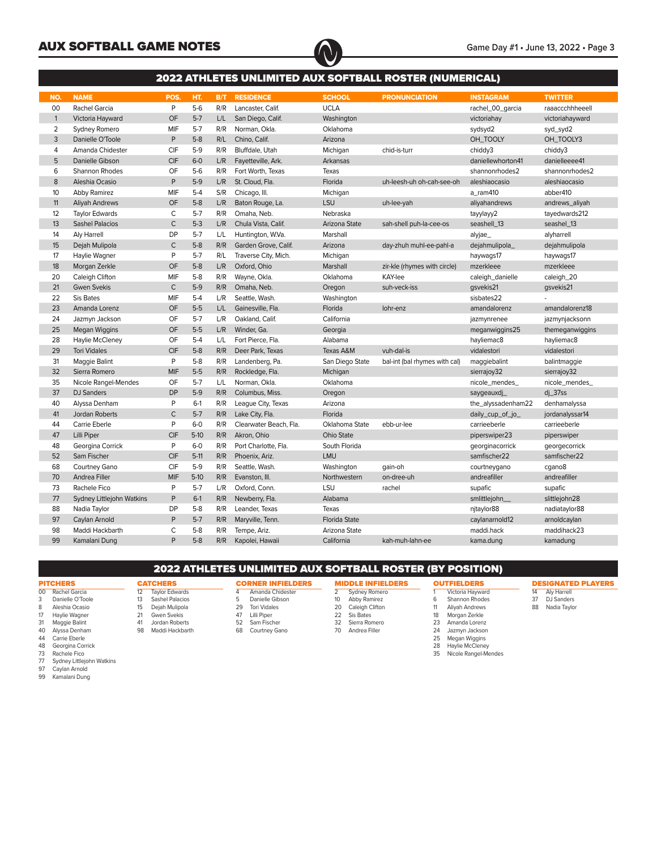

|              | <b>2022 ATHLETES UNLIMITED AUX SOFTBALL ROSTER (NUMERICAL)</b> |              |         |     |                        |                   |                               |                    |                 |  |  |  |
|--------------|----------------------------------------------------------------|--------------|---------|-----|------------------------|-------------------|-------------------------------|--------------------|-----------------|--|--|--|
| NO.          | <b>NAME</b>                                                    | POS.         | HT.     | B/T | <b>RESIDENCE</b>       | <b>SCHOOL</b>     | <b>PRONUNCIATION</b>          | <b>INSTAGRAM</b>   | <b>TWITTER</b>  |  |  |  |
| 00           | Rachel Garcia                                                  | P            | $5-6$   | R/R | Lancaster, Calif.      | <b>UCLA</b>       |                               | rachel_00_garcia   | raaaccchhheeell |  |  |  |
| $\mathbf{1}$ | Victoria Hayward                                               | OF           | $5-7$   | L/L | San Diego, Calif.      | Washington        |                               | victoriahay        | victoriahayward |  |  |  |
| 2            | Sydney Romero                                                  | MIF          | $5-7$   | R/R | Norman, Okla.          | Oklahoma          |                               | sydsyd2            | syd_syd2        |  |  |  |
| 3            | Danielle O'Toole                                               | P            | $5-8$   | R/L | Chino, Calif.          | Arizona           |                               | OH_TOOLY           | OH_TOOLY3       |  |  |  |
| 4            | Amanda Chidester                                               | CIF          | $5-9$   | R/R | Bluffdale, Utah        | Michigan          | chid-is-turr                  | chiddy3            | chiddy3         |  |  |  |
| 5            | Danielle Gibson                                                | <b>CIF</b>   | $6-0$   | L/R | Fayetteville, Ark.     | Arkansas          |                               | daniellewhorton41  | danielleeee41   |  |  |  |
| 6            | Shannon Rhodes                                                 | OF           | $5-6$   | R/R | Fort Worth, Texas      | Texas             |                               | shannonrhodes2     | shannonrhodes2  |  |  |  |
| 8            | Aleshia Ocasio                                                 | P            | $5-9$   | L/R | St. Cloud, Fla.        | Florida           | uh-leesh-uh oh-cah-see-oh     | aleshiaocasio      | aleshiaocasio   |  |  |  |
| 10           | <b>Abby Ramirez</b>                                            | MIF          | $5-4$   | S/R | Chicago, III.          | Michigan          |                               | a_ram410           | abber410        |  |  |  |
| 11           | <b>Aliyah Andrews</b>                                          | OF           | $5-8$   | L/R | Baton Rouge, La.       | LSU               | uh-lee-yah                    | aliyahandrews      | andrews_aliyah  |  |  |  |
| 12           | <b>Taylor Edwards</b>                                          | C            | $5-7$   | R/R | Omaha, Neb.            | Nebraska          |                               | tayylayy2          | tayedwards212   |  |  |  |
| 13           | <b>Sashel Palacios</b>                                         | $\mathsf{C}$ | $5-3$   | L/R | Chula Vista, Calif.    | Arizona State     | sah-shell puh-la-cee-os       | seashell_13        | seashel_13      |  |  |  |
| 14           | Aly Harrell                                                    | <b>DP</b>    | $5-7$   | L/L | Huntington, W.Va.      | Marshall          |                               | alyjae_            | alyharrell      |  |  |  |
| 15           | Dejah Mulipola                                                 | $\mathsf{C}$ | $5-8$   | R/R | Garden Grove, Calif.   | Arizona           | day-zhuh muhl-ee-pahl-a       | dejahmulipola_     | dejahmulipola   |  |  |  |
| 17           | Haylie Wagner                                                  | P            | $5 - 7$ | R/L | Traverse City, Mich.   | Michigan          |                               | haywags17          | haywags17       |  |  |  |
| 18           | Morgan Zerkle                                                  | OF           | $5-8$   | L/R | Oxford, Ohio           | Marshall          | zir-kle (rhymes with circle)  | mzerkleee          | mzerkleee       |  |  |  |
| 20           | Caleigh Clifton                                                | MIF          | $5-8$   | R/R | Wayne, Okla.           | Oklahoma          | KAY-lee                       | caleigh_danielle   | caleigh_20      |  |  |  |
| 21           | <b>Gwen Svekis</b>                                             | $\mathsf{C}$ | $5-9$   | R/R | Omaha, Neb.            | Oregon            | suh-veck-iss                  | gsvekis21          | gsvekis21       |  |  |  |
| 22           | Sis Bates                                                      | MIF          | $5-4$   | L/R | Seattle, Wash.         | Washington        |                               | sisbates22         |                 |  |  |  |
| 23           | Amanda Lorenz                                                  | OF           | $5-5$   | L/L | Gainesville, Fla.      | Florida           | lohr-enz                      | amandalorenz       | amandalorenz18  |  |  |  |
| 24           | Jazmyn Jackson                                                 | OF           | $5-7$   | L/R | Oakland, Calif.        | California        |                               | jazmynrenee        | jazmynjacksonn  |  |  |  |
| 25           | Megan Wiggins                                                  | OF           | $5-5$   | L/R | Winder, Ga.            | Georgia           |                               | meganwiggins25     | themeganwiggins |  |  |  |
| 28           | Haylie McCleney                                                | OF           | $5-4$   | L/L | Fort Pierce, Fla.      | Alabama           |                               | hayliemac8         | hayliemac8      |  |  |  |
| 29           | <b>Tori Vidales</b>                                            | <b>CIF</b>   | $5-8$   | R/R | Deer Park, Texas       | Texas A&M         | vuh-dal-is                    | vidalestori        | vidalestori     |  |  |  |
| 31           | Maggie Balint                                                  | P            | $5-8$   | R/R | Landenberg, Pa.        | San Diego State   | bal-int (bal rhymes with cal) | maggiebalint       | balintmaggie    |  |  |  |
| 32           | Sierra Romero                                                  | <b>MIF</b>   | $5-5$   | R/R | Rockledge, Fla.        | Michigan          |                               | sierrajoy32        | sierrajoy32     |  |  |  |
| 35           | Nicole Rangel-Mendes                                           | OF           | $5 - 7$ | L/L | Norman, Okla.          | Oklahoma          |                               | nicole_mendes_     | nicole_mendes_  |  |  |  |
| 37           | <b>DJ</b> Sanders                                              | <b>DP</b>    | $5-9$   | R/R | Columbus, Miss.        | Oregon            |                               | saygeauxdj         | $di$ _37ss      |  |  |  |
| 40           | Alyssa Denham                                                  | P            | $6-1$   | R/R | League City, Texas     | Arizona           |                               | the_alyssadenham22 | denhamalyssa    |  |  |  |
| 41           | Jordan Roberts                                                 | $\mathsf{C}$ | $5-7$   | R/R | Lake City, Fla.        | Florida           |                               | daily_cup_of_jo_   | jordanalyssar14 |  |  |  |
| 44           | Carrie Eberle                                                  | P            | $6-0$   | R/R | Clearwater Beach, Fla. | Oklahoma State    | ebb-ur-lee                    | carrieeberle       | carrieeberle    |  |  |  |
| 47           | Lilli Piper                                                    | CIF          | $5-10$  | R/R | Akron, Ohio            | <b>Ohio State</b> |                               | piperswiper23      | piperswiper     |  |  |  |
| 48           | Georgina Corrick                                               | P            | $6-0$   | R/R | Port Charlotte, Fla.   | South Florida     |                               | georginacorrick    | georgecorrick   |  |  |  |
| 52           | Sam Fischer                                                    | CIF          | $5-11$  | R/R | Phoenix, Ariz.         | LMU               |                               | samfischer22       | samfischer22    |  |  |  |
| 68           | Courtney Gano                                                  | CIF          | $5-9$   | R/R | Seattle, Wash.         | Washington        | gain-oh                       | courtneygano       | cgano8          |  |  |  |
| 70           | Andrea Filler                                                  | MIF          | $5-10$  | R/R | Evanston, III.         | Northwestern      | on-dree-uh                    | andreafiller       | andreafiller    |  |  |  |
| 73           | Rachele Fico                                                   | P            | $5-7$   | L/R | Oxford, Conn.          | LSU               | rachel                        | supafic            | supafic         |  |  |  |
| 77           | Sydney Littlejohn Watkins                                      | P            | $6-1$   | R/R | Newberry, Fla.         | Alabama           |                               | smlittlejohn_      | slittlejohn28   |  |  |  |
| 88           | Nadia Taylor                                                   | DP           | $5-8$   | R/R | Leander, Texas         | Texas             |                               | njtaylor88         | nadiataylor88   |  |  |  |
| 97           | Caylan Arnold                                                  | P            | $5-7$   | R/R | Maryville, Tenn.       | Florida State     |                               | caylanarnold12     | arnoldcaylan    |  |  |  |
| 98           | Maddi Hackbarth                                                | C            | $5-8$   | R/R | Tempe, Ariz.           | Arizona State     |                               | maddi.hack         | maddihack23     |  |  |  |
| 99           | Kamalani Dung                                                  | P            | $5-8$   | R/R | Kapolei, Hawaii        | California        | kah-muh-lahn-ee               | kama.dung          | kamadung        |  |  |  |

## 2022 ATHLETES UNLIMITED AUX SOFTBALL ROSTER (BY POSITION)

## **PITCHERS**

00 Rachel Garcia<br>3 Danielle O'Toc<br>8 Aleshia Ocasio

**CATCHERS**<br>12 Taylor Edw 12 Taylor Edwards<br>13 Sashel Palacios<br>15 Dejah Mulipola Sashel Palacios 15 Dejah Mulipola<br>21 Gwen Svekis 21 Gwen Svekis<br>41 Jordan Roberts Jordan Roberts Maddi Hackbarth

- Danielle O'Toole 8 Aleshia Ocasio
- 
- 17 Haylie Wagner<br>31 Maggie Balint<br>40 Alvssa Denham Maggie Balint
- Alyssa Denham 44 Carrie Eberle
- 
- 48 Georgina Corrick<br>73 Rachele Fico<br>77 Sydney Littlejohn
- Rachele Fico 77 Sydney Littlejohn Watkins
- Caylan Arnold
- Kamalani Dung
- **CORNER INFIELDERS**
- Amanda Chidester Danielle Gibson
- Tori Vidales Lilli Piper Sam Fischer
- Courtney Gano

**MIDDLE INFIELDERS**<br>2 Sydney Romero **Sydney Romero**  Abby Ramirez 20 Caleigh Clifton Sis Bates Sierra Romero

- Andrea Filler
- -

**OUTFIELDERS** 1 Victoria Hayward<br>6 Shannon Rhodes<br>11 Aliyah Andrews Shannon Rhodes

- 
- DESIGNATED PLAYERS Aly Harrell
	-
- 11 Aliyah Andrews<br>18 Morgan Zerkle Morgan Zerkle Amanda Lorenz
- Jazmyn Jackson
- Megan Wiggins 28 Haylie McCleney
- Nicole Rangel-Mendes
- 
- DJ Sanders 88 Nadia Taylor
- 
- 
-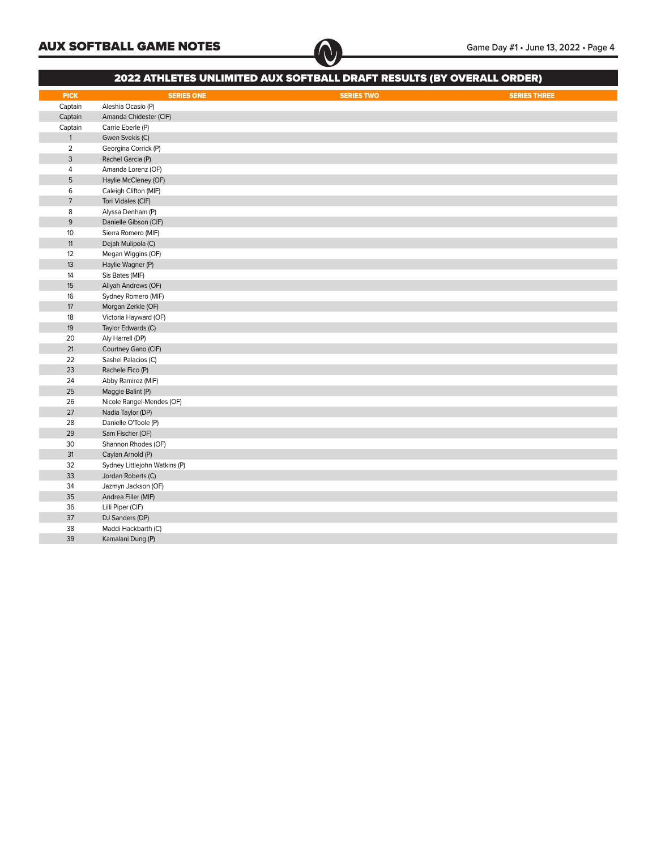| <b>2022 ATHLETES UNLIMITED AUX SOFTBALL DRAFT RESULTS (BY OVERALL ORDER)</b> |                               |                   |                     |  |  |  |  |  |  |  |  |
|------------------------------------------------------------------------------|-------------------------------|-------------------|---------------------|--|--|--|--|--|--|--|--|
| <b>PICK</b>                                                                  | <b>SERIES ONE</b>             | <b>SERIES TWO</b> | <b>SERIES THREE</b> |  |  |  |  |  |  |  |  |
| Captain                                                                      | Aleshia Ocasio (P)            |                   |                     |  |  |  |  |  |  |  |  |
| Captain                                                                      | Amanda Chidester (CIF)        |                   |                     |  |  |  |  |  |  |  |  |
| Captain                                                                      | Carrie Eberle (P)             |                   |                     |  |  |  |  |  |  |  |  |
| $\mathbf{1}$                                                                 | Gwen Svekis (C)               |                   |                     |  |  |  |  |  |  |  |  |
| $\overline{2}$                                                               | Georgina Corrick (P)          |                   |                     |  |  |  |  |  |  |  |  |
| 3                                                                            | Rachel Garcia (P)             |                   |                     |  |  |  |  |  |  |  |  |
| $\overline{4}$                                                               | Amanda Lorenz (OF)            |                   |                     |  |  |  |  |  |  |  |  |
| 5                                                                            | Haylie McCleney (OF)          |                   |                     |  |  |  |  |  |  |  |  |
| 6                                                                            | Caleigh Clifton (MIF)         |                   |                     |  |  |  |  |  |  |  |  |
| $\overline{7}$                                                               | Tori Vidales (CIF)            |                   |                     |  |  |  |  |  |  |  |  |
| 8                                                                            | Alyssa Denham (P)             |                   |                     |  |  |  |  |  |  |  |  |
| 9                                                                            | Danielle Gibson (CIF)         |                   |                     |  |  |  |  |  |  |  |  |
| 10                                                                           | Sierra Romero (MIF)           |                   |                     |  |  |  |  |  |  |  |  |
| 11                                                                           | Dejah Mulipola (C)            |                   |                     |  |  |  |  |  |  |  |  |
| 12                                                                           | Megan Wiggins (OF)            |                   |                     |  |  |  |  |  |  |  |  |
| 13                                                                           | Haylie Wagner (P)             |                   |                     |  |  |  |  |  |  |  |  |
| 14                                                                           | Sis Bates (MIF)               |                   |                     |  |  |  |  |  |  |  |  |
| 15                                                                           | Aliyah Andrews (OF)           |                   |                     |  |  |  |  |  |  |  |  |
| 16                                                                           | Sydney Romero (MIF)           |                   |                     |  |  |  |  |  |  |  |  |
| 17                                                                           | Morgan Zerkle (OF)            |                   |                     |  |  |  |  |  |  |  |  |
| 18                                                                           | Victoria Hayward (OF)         |                   |                     |  |  |  |  |  |  |  |  |
| 19                                                                           | Taylor Edwards (C)            |                   |                     |  |  |  |  |  |  |  |  |
| 20                                                                           | Aly Harrell (DP)              |                   |                     |  |  |  |  |  |  |  |  |
| 21                                                                           | Courtney Gano (CIF)           |                   |                     |  |  |  |  |  |  |  |  |
| 22                                                                           | Sashel Palacios (C)           |                   |                     |  |  |  |  |  |  |  |  |
| 23                                                                           | Rachele Fico (P)              |                   |                     |  |  |  |  |  |  |  |  |
| 24                                                                           | Abby Ramirez (MIF)            |                   |                     |  |  |  |  |  |  |  |  |
| 25                                                                           | Maggie Balint (P)             |                   |                     |  |  |  |  |  |  |  |  |
| 26                                                                           | Nicole Rangel-Mendes (OF)     |                   |                     |  |  |  |  |  |  |  |  |
| 27                                                                           | Nadia Taylor (DP)             |                   |                     |  |  |  |  |  |  |  |  |
| 28                                                                           | Danielle O'Toole (P)          |                   |                     |  |  |  |  |  |  |  |  |
| 29                                                                           | Sam Fischer (OF)              |                   |                     |  |  |  |  |  |  |  |  |
| 30                                                                           | Shannon Rhodes (OF)           |                   |                     |  |  |  |  |  |  |  |  |
| 31                                                                           | Caylan Arnold (P)             |                   |                     |  |  |  |  |  |  |  |  |
| 32                                                                           | Sydney Littlejohn Watkins (P) |                   |                     |  |  |  |  |  |  |  |  |
| 33                                                                           | Jordan Roberts (C)            |                   |                     |  |  |  |  |  |  |  |  |
| 34                                                                           | Jazmyn Jackson (OF)           |                   |                     |  |  |  |  |  |  |  |  |
| 35                                                                           | Andrea Filler (MIF)           |                   |                     |  |  |  |  |  |  |  |  |
| 36                                                                           | Lilli Piper (CIF)             |                   |                     |  |  |  |  |  |  |  |  |
| 37                                                                           | DJ Sanders (DP)               |                   |                     |  |  |  |  |  |  |  |  |
| 38                                                                           | Maddi Hackbarth (C)           |                   |                     |  |  |  |  |  |  |  |  |
| 39                                                                           | Kamalani Dung (P)             |                   |                     |  |  |  |  |  |  |  |  |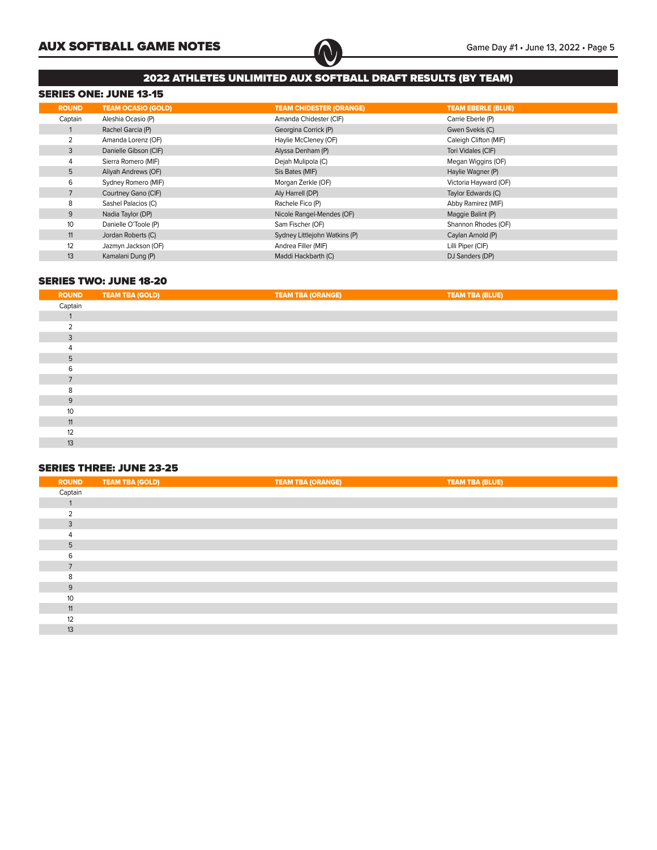

## 2022 ATHLETES UNLIMITED AUX SOFTBALL DRAFT RESULTS (BY TEAM)

## SERIES ONE: JUNE 13-15

| <b>ROUND</b> | <b>TEAM OCASIO (GOLD)</b> | <b>TEAM CHIDESTER (ORANGE)</b> | <b>TEAM EBERLE (BLUE)</b> |
|--------------|---------------------------|--------------------------------|---------------------------|
| Captain      | Aleshia Ocasio (P)        | Amanda Chidester (CIF)         | Carrie Eberle (P)         |
|              | Rachel Garcia (P)         | Georgina Corrick (P)           | Gwen Svekis (C)           |
|              | Amanda Lorenz (OF)        | Haylie McCleney (OF)           | Caleigh Clifton (MIF)     |
| 3            | Danielle Gibson (CIF)     | Alyssa Denham (P)              | Tori Vidales (CIF)        |
|              | Sierra Romero (MIF)       | Dejah Mulipola (C)             | Megan Wiggins (OF)        |
| 5            | Aliyah Andrews (OF)       | Sis Bates (MIF)                | Haylie Wagner (P)         |
| 6            | Sydney Romero (MIF)       | Morgan Zerkle (OF)             | Victoria Hayward (OF)     |
|              | Courtney Gano (CIF)       | Aly Harrell (DP)               | Taylor Edwards (C)        |
| 8            | Sashel Palacios (C)       | Rachele Fico (P)               | Abby Ramirez (MIF)        |
| 9            | Nadia Taylor (DP)         | Nicole Rangel-Mendes (OF)      | Maggie Balint (P)         |
| 10           | Danielle O'Toole (P)      | Sam Fischer (OF)               | Shannon Rhodes (OF)       |
| 11           | Jordan Roberts (C)        | Sydney Littlejohn Watkins (P)  | Caylan Arnold (P)         |
| 12           | Jazmyn Jackson (OF)       | Andrea Filler (MIF)            | Lilli Piper (CIF)         |
| 13           | Kamalani Dung (P)         | Maddi Hackbarth (C)            | DJ Sanders (DP)           |

## SERIES TWO: JUNE 18-20

| <b>ROUND</b> | <b>TEAM TBA (GOLD)</b> | <b>TEAM TBA (ORANGE)</b> | <b>TEAM TBA (BLUE)</b> |  |
|--------------|------------------------|--------------------------|------------------------|--|
| Captain      |                        |                          |                        |  |
|              |                        |                          |                        |  |
|              |                        |                          |                        |  |
| 3            |                        |                          |                        |  |
|              |                        |                          |                        |  |
| 5            |                        |                          |                        |  |
|              |                        |                          |                        |  |
|              |                        |                          |                        |  |
|              |                        |                          |                        |  |
| 9            |                        |                          |                        |  |
| 10           |                        |                          |                        |  |
| 11           |                        |                          |                        |  |
| 12           |                        |                          |                        |  |
| 13           |                        |                          |                        |  |

## SERIES THREE: JUNE 23-25

| <b>ROUND</b>        | <b>TEAM TBA (GOLD)</b> | <b>TEAM TBA (ORANGE)</b> | <b>TEAM TBA (BLUE)</b> |  |
|---------------------|------------------------|--------------------------|------------------------|--|
| Captain             |                        |                          |                        |  |
|                     |                        |                          |                        |  |
|                     |                        |                          |                        |  |
| 3                   |                        |                          |                        |  |
|                     |                        |                          |                        |  |
| 5                   |                        |                          |                        |  |
| $\overline{ }$<br>n |                        |                          |                        |  |
|                     |                        |                          |                        |  |
|                     |                        |                          |                        |  |
| 9                   |                        |                          |                        |  |
| 10                  |                        |                          |                        |  |
| 11                  |                        |                          |                        |  |
| 12                  |                        |                          |                        |  |
| 13                  |                        |                          |                        |  |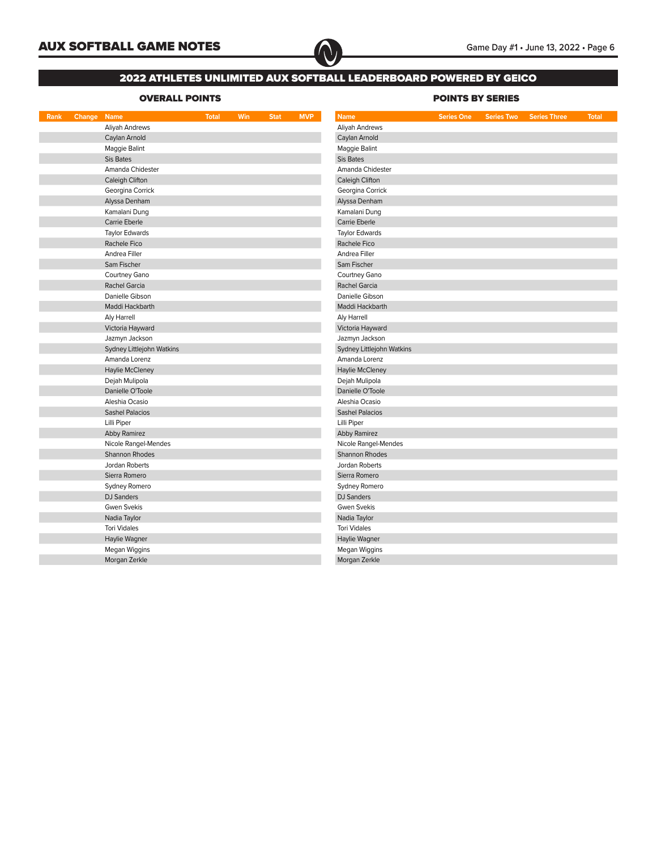

## 2022 ATHLETES UNLIMITED AUX SOFTBALL LEADERBOARD POWERED BY GEICO

## OVERALL POINTS NET RESERVED AND RESERVED BY SERIES

| Rank | Change | <b>Name</b>               | <b>Total</b> | Win | <b>Stat</b> | <b>MVP</b> | <b>Name</b>               | <b>Series One</b> | <b>Series Two</b> | <b>Series Three</b> | <b>Total</b> |  |  |  |  |  |  |
|------|--------|---------------------------|--------------|-----|-------------|------------|---------------------------|-------------------|-------------------|---------------------|--------------|--|--|--|--|--|--|
|      |        | Aliyah Andrews            |              |     |             |            | Aliyah Andrews            |                   |                   |                     |              |  |  |  |  |  |  |
|      |        | Caylan Arnold             |              |     |             |            | Caylan Arnold             |                   |                   |                     |              |  |  |  |  |  |  |
|      |        | Maggie Balint             |              |     |             |            | Maggie Balint             |                   |                   |                     |              |  |  |  |  |  |  |
|      |        | Sis Bates                 |              |     |             |            | Sis Bates                 |                   |                   |                     |              |  |  |  |  |  |  |
|      |        | Amanda Chidester          |              |     |             |            | Amanda Chidester          |                   |                   |                     |              |  |  |  |  |  |  |
|      |        | Caleigh Clifton           |              |     |             |            | Caleigh Clifton           |                   |                   |                     |              |  |  |  |  |  |  |
|      |        | Georgina Corrick          |              |     |             |            | Georgina Corrick          |                   |                   |                     |              |  |  |  |  |  |  |
|      |        | Alyssa Denham             |              |     |             |            | Alyssa Denham             |                   |                   |                     |              |  |  |  |  |  |  |
|      |        | Kamalani Dung             |              |     |             |            | Kamalani Dung             |                   |                   |                     |              |  |  |  |  |  |  |
|      |        | Carrie Eberle             |              |     |             |            | Carrie Eberle             |                   |                   |                     |              |  |  |  |  |  |  |
|      |        | <b>Taylor Edwards</b>     |              |     |             |            | <b>Taylor Edwards</b>     |                   |                   |                     |              |  |  |  |  |  |  |
|      |        | Rachele Fico              |              |     |             |            | Rachele Fico              |                   |                   |                     |              |  |  |  |  |  |  |
|      |        | Andrea Filler             |              |     |             |            | Andrea Filler             |                   |                   |                     |              |  |  |  |  |  |  |
|      |        | Sam Fischer               |              |     |             |            | Sam Fischer               |                   |                   |                     |              |  |  |  |  |  |  |
|      |        | Courtney Gano             |              |     |             |            | Courtney Gano             |                   |                   |                     |              |  |  |  |  |  |  |
|      |        | Rachel Garcia             |              |     |             |            | Rachel Garcia             |                   |                   |                     |              |  |  |  |  |  |  |
|      |        | Danielle Gibson           |              |     |             |            | Danielle Gibson           |                   |                   |                     |              |  |  |  |  |  |  |
|      |        | Maddi Hackbarth           |              |     |             |            | Maddi Hackbarth           |                   |                   |                     |              |  |  |  |  |  |  |
|      |        | Aly Harrell               |              |     |             |            | Aly Harrell               |                   |                   |                     |              |  |  |  |  |  |  |
|      |        | Victoria Hayward          |              |     |             |            | Victoria Hayward          |                   |                   |                     |              |  |  |  |  |  |  |
|      |        | Jazmyn Jackson            |              |     |             |            | Jazmyn Jackson            |                   |                   |                     |              |  |  |  |  |  |  |
|      |        | Sydney Littlejohn Watkins |              |     |             |            | Sydney Littlejohn Watkins |                   |                   |                     |              |  |  |  |  |  |  |
|      |        | Amanda Lorenz             |              |     |             |            | Amanda Lorenz             |                   |                   |                     |              |  |  |  |  |  |  |
|      |        | Haylie McCleney           |              |     |             |            | Haylie McCleney           |                   |                   |                     |              |  |  |  |  |  |  |
|      |        | Dejah Mulipola            |              |     |             |            | Dejah Mulipola            |                   |                   |                     |              |  |  |  |  |  |  |
|      |        | Danielle O'Toole          |              |     |             |            | Danielle O'Toole          |                   |                   |                     |              |  |  |  |  |  |  |
|      |        | Aleshia Ocasio            |              |     |             |            | Aleshia Ocasio            |                   |                   |                     |              |  |  |  |  |  |  |
|      |        | <b>Sashel Palacios</b>    |              |     |             |            | <b>Sashel Palacios</b>    |                   |                   |                     |              |  |  |  |  |  |  |
|      |        | Lilli Piper               |              |     |             |            | Lilli Piper               |                   |                   |                     |              |  |  |  |  |  |  |
|      |        | Abby Ramirez              |              |     |             |            | <b>Abby Ramirez</b>       |                   |                   |                     |              |  |  |  |  |  |  |
|      |        | Nicole Rangel-Mendes      |              |     |             |            | Nicole Rangel-Mendes      |                   |                   |                     |              |  |  |  |  |  |  |
|      |        | Shannon Rhodes            |              |     |             |            | Shannon Rhodes            |                   |                   |                     |              |  |  |  |  |  |  |
|      |        | Jordan Roberts            |              |     |             |            | Jordan Roberts            |                   |                   |                     |              |  |  |  |  |  |  |
|      |        | Sierra Romero             |              |     |             |            | Sierra Romero             |                   |                   |                     |              |  |  |  |  |  |  |
|      |        | Sydney Romero             |              |     |             |            | Sydney Romero             |                   |                   |                     |              |  |  |  |  |  |  |
|      |        | <b>DJ</b> Sanders         |              |     |             |            | <b>DJ</b> Sanders         |                   |                   |                     |              |  |  |  |  |  |  |
|      |        | Gwen Svekis               |              |     |             |            | <b>Gwen Svekis</b>        |                   |                   |                     |              |  |  |  |  |  |  |
|      |        | Nadia Taylor              |              |     |             |            | Nadia Taylor              |                   |                   |                     |              |  |  |  |  |  |  |
|      |        | <b>Tori Vidales</b>       |              |     |             |            | <b>Tori Vidales</b>       |                   |                   |                     |              |  |  |  |  |  |  |
|      |        | Haylie Wagner             |              |     |             |            | Haylie Wagner             |                   |                   |                     |              |  |  |  |  |  |  |
|      |        | Megan Wiggins             |              |     |             |            | Megan Wiggins             |                   |                   |                     |              |  |  |  |  |  |  |
|      |        | Morgan Zerkle             |              |     |             |            | Morgan Zerkle             |                   |                   |                     |              |  |  |  |  |  |  |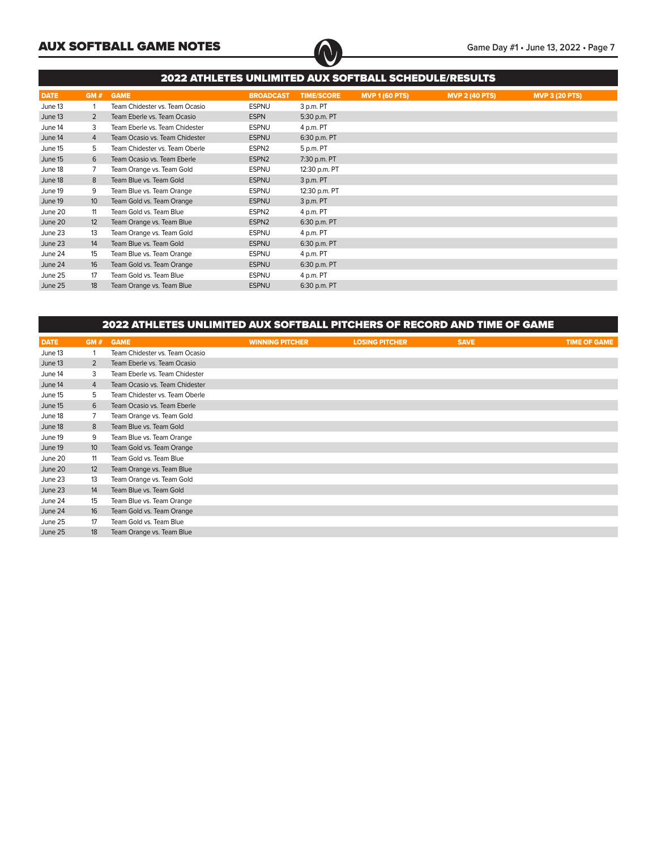

|             | 2022 ATHLETES UNLIMITED AUX SOFTBALL SCHEDULE/RESULTS |                                |                   |                   |                       |                       |                       |  |  |  |  |  |  |
|-------------|-------------------------------------------------------|--------------------------------|-------------------|-------------------|-----------------------|-----------------------|-----------------------|--|--|--|--|--|--|
| <b>DATE</b> | GM#                                                   | <b>GAME</b>                    | <b>BROADCAST</b>  | <b>TIME/SCORE</b> | <b>MVP 1 (60 PTS)</b> | <b>MVP 2 (40 PTS)</b> | <b>MVP 3 (20 PTS)</b> |  |  |  |  |  |  |
| June 13     |                                                       | Team Chidester vs. Team Ocasio | <b>ESPNU</b>      | 3 p.m. PT         |                       |                       |                       |  |  |  |  |  |  |
| June 13     | $\overline{2}$                                        | Team Eberle vs. Team Ocasio    | <b>ESPN</b>       | 5:30 p.m. PT      |                       |                       |                       |  |  |  |  |  |  |
| June 14     | 3                                                     | Team Eberle vs. Team Chidester | <b>ESPNU</b>      | 4 p.m. PT         |                       |                       |                       |  |  |  |  |  |  |
| June 14     | $\overline{4}$                                        | Team Ocasio vs. Team Chidester | <b>ESPNU</b>      | 6:30 p.m. PT      |                       |                       |                       |  |  |  |  |  |  |
| June 15     | 5                                                     | Team Chidester vs. Team Oberle | ESPN <sub>2</sub> | 5 p.m. PT         |                       |                       |                       |  |  |  |  |  |  |
| June 15     | 6                                                     | Team Ocasio vs. Team Eberle    | ESPN <sub>2</sub> | 7:30 p.m. PT      |                       |                       |                       |  |  |  |  |  |  |
| June 18     |                                                       | Team Orange vs. Team Gold      | <b>ESPNU</b>      | 12:30 p.m. PT     |                       |                       |                       |  |  |  |  |  |  |
| June 18     | 8                                                     | Team Blue vs. Team Gold        | <b>ESPNU</b>      | 3 p.m. PT         |                       |                       |                       |  |  |  |  |  |  |
| June 19     | 9                                                     | Team Blue vs. Team Orange      | <b>ESPNU</b>      | 12:30 p.m. PT     |                       |                       |                       |  |  |  |  |  |  |
| June 19     | 10                                                    | Team Gold vs. Team Orange      | <b>ESPNU</b>      | 3 p.m. PT         |                       |                       |                       |  |  |  |  |  |  |
| June 20     | 11                                                    | Team Gold vs. Team Blue        | ESPN <sub>2</sub> | 4 p.m. PT         |                       |                       |                       |  |  |  |  |  |  |
| June 20     | 12                                                    | Team Orange vs. Team Blue      | ESPN <sub>2</sub> | 6:30 p.m. PT      |                       |                       |                       |  |  |  |  |  |  |
| June 23     | 13                                                    | Team Orange vs. Team Gold      | <b>ESPNU</b>      | 4 p.m. PT         |                       |                       |                       |  |  |  |  |  |  |
| June 23     | 14                                                    | Team Blue vs. Team Gold        | <b>ESPNU</b>      | 6:30 p.m. PT      |                       |                       |                       |  |  |  |  |  |  |
| June 24     | 15                                                    | Team Blue vs. Team Orange      | <b>ESPNU</b>      | 4 p.m. PT         |                       |                       |                       |  |  |  |  |  |  |
| June 24     | 16                                                    | Team Gold vs. Team Orange      | <b>ESPNU</b>      | 6:30 p.m. PT      |                       |                       |                       |  |  |  |  |  |  |
| June 25     | 17                                                    | Team Gold vs. Team Blue        | <b>ESPNU</b>      | 4 p.m. PT         |                       |                       |                       |  |  |  |  |  |  |
| June 25     | 18                                                    | Team Orange vs. Team Blue      | <b>ESPNU</b>      | 6:30 p.m. PT      |                       |                       |                       |  |  |  |  |  |  |

| GM#            | <b>GAME</b>                    | <b>WINNING PITCHER</b> | <b>LOSING PITCHER</b> | <b>SAVE</b> | <b>TIME OF GAME</b>                                                      |
|----------------|--------------------------------|------------------------|-----------------------|-------------|--------------------------------------------------------------------------|
|                | Team Chidester vs. Team Ocasio |                        |                       |             |                                                                          |
| 2              | Team Eberle vs. Team Ocasio    |                        |                       |             |                                                                          |
| 3              | Team Eberle vs. Team Chidester |                        |                       |             |                                                                          |
| $\overline{4}$ | Team Ocasio vs. Team Chidester |                        |                       |             |                                                                          |
| 5              | Team Chidester vs. Team Oberle |                        |                       |             |                                                                          |
| 6              | Team Ocasio vs. Team Eberle    |                        |                       |             |                                                                          |
|                | Team Orange vs. Team Gold      |                        |                       |             |                                                                          |
| 8              | Team Blue vs. Team Gold        |                        |                       |             |                                                                          |
| 9              | Team Blue vs. Team Orange      |                        |                       |             |                                                                          |
| 10             | Team Gold vs. Team Orange      |                        |                       |             |                                                                          |
| 11             | Team Gold vs. Team Blue        |                        |                       |             |                                                                          |
| 12             | Team Orange vs. Team Blue      |                        |                       |             |                                                                          |
| 13             | Team Orange vs. Team Gold      |                        |                       |             |                                                                          |
| 14             | Team Blue vs. Team Gold        |                        |                       |             |                                                                          |
| 15             | Team Blue vs. Team Orange      |                        |                       |             |                                                                          |
| 16             | Team Gold vs. Team Orange      |                        |                       |             |                                                                          |
| 17             | Team Gold vs. Team Blue        |                        |                       |             |                                                                          |
| 18             | Team Orange vs. Team Blue      |                        |                       |             |                                                                          |
|                |                                |                        |                       |             | 2022 ATHLETES UNLIMITED AUX SOFTBALL PITCHERS OF RECORD AND TIME OF GAME |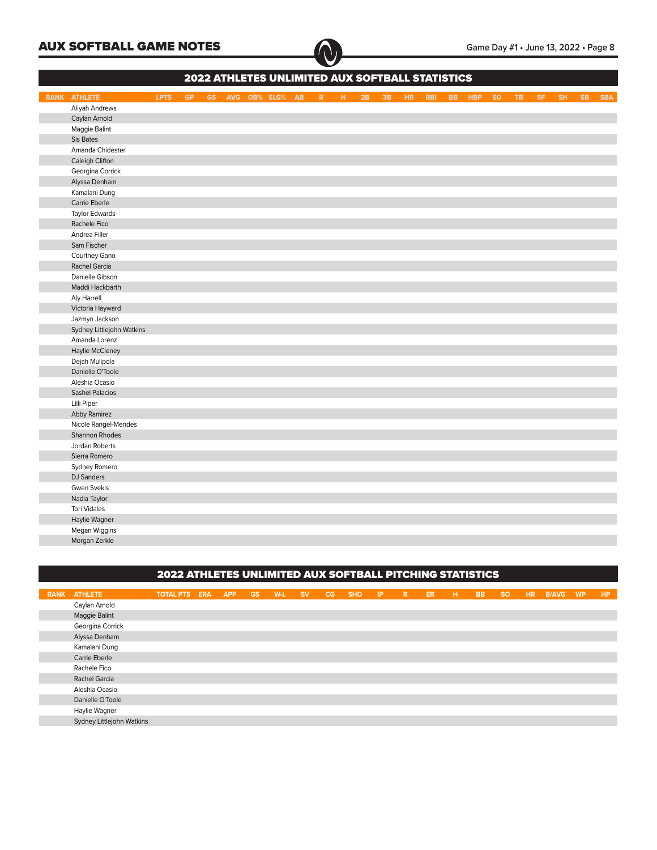| 2022 ATHLETES UNLIMITED AUX SOFTBALL STATISTICS |             |           |  |  |                      |  |  |                |    |           |     |            |  |        |           |           |     |                 |           |            |
|-------------------------------------------------|-------------|-----------|--|--|----------------------|--|--|----------------|----|-----------|-----|------------|--|--------|-----------|-----------|-----|-----------------|-----------|------------|
| <b>RANK ATHLETE</b>                             | <b>LPTS</b> | <b>GP</b> |  |  | GS AVG OB% SLG% AB R |  |  | $\mathbb{H}^+$ | 2B | <b>3B</b> | HR. | <b>RBI</b> |  | BB HBP | <b>SO</b> | <b>TB</b> | SF. | SH <sub>1</sub> | <b>SB</b> | <b>SBA</b> |
| Aliyah Andrews                                  |             |           |  |  |                      |  |  |                |    |           |     |            |  |        |           |           |     |                 |           |            |
| Caylan Arnold                                   |             |           |  |  |                      |  |  |                |    |           |     |            |  |        |           |           |     |                 |           |            |
| Maggie Balint                                   |             |           |  |  |                      |  |  |                |    |           |     |            |  |        |           |           |     |                 |           |            |
| Sis Bates                                       |             |           |  |  |                      |  |  |                |    |           |     |            |  |        |           |           |     |                 |           |            |
| Amanda Chidester                                |             |           |  |  |                      |  |  |                |    |           |     |            |  |        |           |           |     |                 |           |            |
| Caleigh Clifton                                 |             |           |  |  |                      |  |  |                |    |           |     |            |  |        |           |           |     |                 |           |            |
| Georgina Corrick                                |             |           |  |  |                      |  |  |                |    |           |     |            |  |        |           |           |     |                 |           |            |
| Alyssa Denham                                   |             |           |  |  |                      |  |  |                |    |           |     |            |  |        |           |           |     |                 |           |            |
| Kamalani Dung                                   |             |           |  |  |                      |  |  |                |    |           |     |            |  |        |           |           |     |                 |           |            |
| Carrie Eberle                                   |             |           |  |  |                      |  |  |                |    |           |     |            |  |        |           |           |     |                 |           |            |
| <b>Taylor Edwards</b>                           |             |           |  |  |                      |  |  |                |    |           |     |            |  |        |           |           |     |                 |           |            |
| Rachele Fico                                    |             |           |  |  |                      |  |  |                |    |           |     |            |  |        |           |           |     |                 |           |            |
| Andrea Filler                                   |             |           |  |  |                      |  |  |                |    |           |     |            |  |        |           |           |     |                 |           |            |
| Sam Fischer                                     |             |           |  |  |                      |  |  |                |    |           |     |            |  |        |           |           |     |                 |           |            |
| Courtney Gano                                   |             |           |  |  |                      |  |  |                |    |           |     |            |  |        |           |           |     |                 |           |            |
| Rachel Garcia                                   |             |           |  |  |                      |  |  |                |    |           |     |            |  |        |           |           |     |                 |           |            |
| Danielle Gibson                                 |             |           |  |  |                      |  |  |                |    |           |     |            |  |        |           |           |     |                 |           |            |
| Maddi Hackbarth                                 |             |           |  |  |                      |  |  |                |    |           |     |            |  |        |           |           |     |                 |           |            |
| Aly Harrell                                     |             |           |  |  |                      |  |  |                |    |           |     |            |  |        |           |           |     |                 |           |            |
| Victoria Hayward                                |             |           |  |  |                      |  |  |                |    |           |     |            |  |        |           |           |     |                 |           |            |
| Jazmyn Jackson                                  |             |           |  |  |                      |  |  |                |    |           |     |            |  |        |           |           |     |                 |           |            |
| Sydney Littlejohn Watkins                       |             |           |  |  |                      |  |  |                |    |           |     |            |  |        |           |           |     |                 |           |            |
| Amanda Lorenz                                   |             |           |  |  |                      |  |  |                |    |           |     |            |  |        |           |           |     |                 |           |            |
| Haylie McCleney                                 |             |           |  |  |                      |  |  |                |    |           |     |            |  |        |           |           |     |                 |           |            |
| Dejah Mulipola                                  |             |           |  |  |                      |  |  |                |    |           |     |            |  |        |           |           |     |                 |           |            |
| Danielle O'Toole                                |             |           |  |  |                      |  |  |                |    |           |     |            |  |        |           |           |     |                 |           |            |
| Aleshia Ocasio                                  |             |           |  |  |                      |  |  |                |    |           |     |            |  |        |           |           |     |                 |           |            |
| <b>Sashel Palacios</b>                          |             |           |  |  |                      |  |  |                |    |           |     |            |  |        |           |           |     |                 |           |            |
| Lilli Piper                                     |             |           |  |  |                      |  |  |                |    |           |     |            |  |        |           |           |     |                 |           |            |
| Abby Ramirez                                    |             |           |  |  |                      |  |  |                |    |           |     |            |  |        |           |           |     |                 |           |            |
| Nicole Rangel-Mendes                            |             |           |  |  |                      |  |  |                |    |           |     |            |  |        |           |           |     |                 |           |            |
| Shannon Rhodes                                  |             |           |  |  |                      |  |  |                |    |           |     |            |  |        |           |           |     |                 |           |            |
| Jordan Roberts                                  |             |           |  |  |                      |  |  |                |    |           |     |            |  |        |           |           |     |                 |           |            |
| Sierra Romero                                   |             |           |  |  |                      |  |  |                |    |           |     |            |  |        |           |           |     |                 |           |            |
| Sydney Romero                                   |             |           |  |  |                      |  |  |                |    |           |     |            |  |        |           |           |     |                 |           |            |
| <b>DJ</b> Sanders                               |             |           |  |  |                      |  |  |                |    |           |     |            |  |        |           |           |     |                 |           |            |
| Gwen Svekis                                     |             |           |  |  |                      |  |  |                |    |           |     |            |  |        |           |           |     |                 |           |            |
| Nadia Taylor                                    |             |           |  |  |                      |  |  |                |    |           |     |            |  |        |           |           |     |                 |           |            |
| <b>Tori Vidales</b>                             |             |           |  |  |                      |  |  |                |    |           |     |            |  |        |           |           |     |                 |           |            |
| Haylie Wagner                                   |             |           |  |  |                      |  |  |                |    |           |     |            |  |        |           |           |     |                 |           |            |
| Megan Wiggins                                   |             |           |  |  |                      |  |  |                |    |           |     |            |  |        |           |           |     |                 |           |            |
| Morgan Zerkle                                   |             |           |  |  |                      |  |  |                |    |           |     |            |  |        |           |           |     |                 |           |            |

## 2022 ATHLETES UNLIMITED AUX SOFTBALL PITCHING STATISTICS

| <b>RANK ATHLETE</b>       | <b>TOTAL PTS ERA</b> | <b>APP</b> | <b>GS</b> | W-L SV | CG. | <b>SHO</b> | $\blacksquare$ | <b>R</b> | ER. | - H - | <b>BB</b> | <b>SO</b> | HR. | B/AVG | <b>WP</b> | <b>HP</b> |
|---------------------------|----------------------|------------|-----------|--------|-----|------------|----------------|----------|-----|-------|-----------|-----------|-----|-------|-----------|-----------|
| Caylan Arnold             |                      |            |           |        |     |            |                |          |     |       |           |           |     |       |           |           |
| Maggie Balint             |                      |            |           |        |     |            |                |          |     |       |           |           |     |       |           |           |
| Georgina Corrick          |                      |            |           |        |     |            |                |          |     |       |           |           |     |       |           |           |
| Alyssa Denham             |                      |            |           |        |     |            |                |          |     |       |           |           |     |       |           |           |
| Kamalani Dung             |                      |            |           |        |     |            |                |          |     |       |           |           |     |       |           |           |
| Carrie Eberle             |                      |            |           |        |     |            |                |          |     |       |           |           |     |       |           |           |
| Rachele Fico              |                      |            |           |        |     |            |                |          |     |       |           |           |     |       |           |           |
| Rachel Garcia             |                      |            |           |        |     |            |                |          |     |       |           |           |     |       |           |           |
| Aleshia Ocasio            |                      |            |           |        |     |            |                |          |     |       |           |           |     |       |           |           |
| Danielle O'Toole          |                      |            |           |        |     |            |                |          |     |       |           |           |     |       |           |           |
| Haylie Wagner             |                      |            |           |        |     |            |                |          |     |       |           |           |     |       |           |           |
| Sydney Littlejohn Watkins |                      |            |           |        |     |            |                |          |     |       |           |           |     |       |           |           |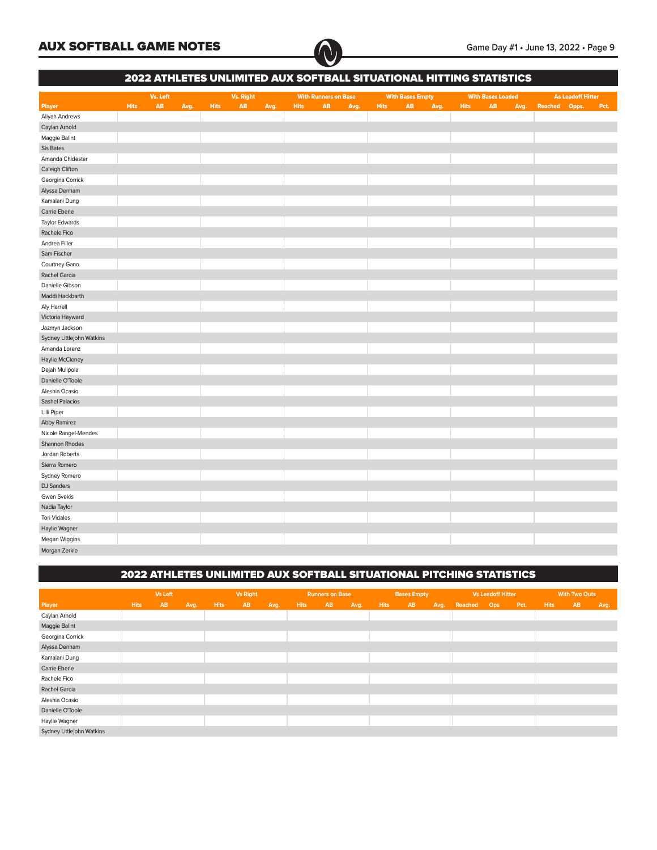

|                           |             |          |      |             |                  |      |             |                             |      |             |                         |      | 2022 ATHLETES UNLIMITED AUX SOFTBALL SITUATIONAL HITTING STATISTICS |                          |      |         |                          |      |
|---------------------------|-------------|----------|------|-------------|------------------|------|-------------|-----------------------------|------|-------------|-------------------------|------|---------------------------------------------------------------------|--------------------------|------|---------|--------------------------|------|
|                           |             | Vs. Left |      |             | <b>Vs. Right</b> |      |             | <b>With Runners on Base</b> |      |             | <b>With Bases Empty</b> |      |                                                                     | <b>With Bases Loaded</b> |      |         | <b>As Leadoff Hitter</b> |      |
| <b>Player</b>             | <b>Hits</b> | AB       | Avg. | <b>Hits</b> | AB               | Avg. | <b>Hits</b> | AB                          | Avg. | <b>Hits</b> | AB                      | Avg. | <b>Hits</b>                                                         | AB                       | Avg. | Reached | Opps.                    | Pct. |
| Aliyah Andrews            |             |          |      |             |                  |      |             |                             |      |             |                         |      |                                                                     |                          |      |         |                          |      |
| Caylan Arnold             |             |          |      |             |                  |      |             |                             |      |             |                         |      |                                                                     |                          |      |         |                          |      |
| Maggie Balint             |             |          |      |             |                  |      |             |                             |      |             |                         |      |                                                                     |                          |      |         |                          |      |
| Sis Bates                 |             |          |      |             |                  |      |             |                             |      |             |                         |      |                                                                     |                          |      |         |                          |      |
| Amanda Chidester          |             |          |      |             |                  |      |             |                             |      |             |                         |      |                                                                     |                          |      |         |                          |      |
| Caleigh Clifton           |             |          |      |             |                  |      |             |                             |      |             |                         |      |                                                                     |                          |      |         |                          |      |
| Georgina Corrick          |             |          |      |             |                  |      |             |                             |      |             |                         |      |                                                                     |                          |      |         |                          |      |
| Alyssa Denham             |             |          |      |             |                  |      |             |                             |      |             |                         |      |                                                                     |                          |      |         |                          |      |
| Kamalani Dung             |             |          |      |             |                  |      |             |                             |      |             |                         |      |                                                                     |                          |      |         |                          |      |
| Carrie Eberle             |             |          |      |             |                  |      |             |                             |      |             |                         |      |                                                                     |                          |      |         |                          |      |
| <b>Taylor Edwards</b>     |             |          |      |             |                  |      |             |                             |      |             |                         |      |                                                                     |                          |      |         |                          |      |
| Rachele Fico              |             |          |      |             |                  |      |             |                             |      |             |                         |      |                                                                     |                          |      |         |                          |      |
| Andrea Filler             |             |          |      |             |                  |      |             |                             |      |             |                         |      |                                                                     |                          |      |         |                          |      |
| Sam Fischer               |             |          |      |             |                  |      |             |                             |      |             |                         |      |                                                                     |                          |      |         |                          |      |
| Courtney Gano             |             |          |      |             |                  |      |             |                             |      |             |                         |      |                                                                     |                          |      |         |                          |      |
| Rachel Garcia             |             |          |      |             |                  |      |             |                             |      |             |                         |      |                                                                     |                          |      |         |                          |      |
| Danielle Gibson           |             |          |      |             |                  |      |             |                             |      |             |                         |      |                                                                     |                          |      |         |                          |      |
| Maddi Hackbarth           |             |          |      |             |                  |      |             |                             |      |             |                         |      |                                                                     |                          |      |         |                          |      |
| Aly Harrell               |             |          |      |             |                  |      |             |                             |      |             |                         |      |                                                                     |                          |      |         |                          |      |
| Victoria Hayward          |             |          |      |             |                  |      |             |                             |      |             |                         |      |                                                                     |                          |      |         |                          |      |
| Jazmyn Jackson            |             |          |      |             |                  |      |             |                             |      |             |                         |      |                                                                     |                          |      |         |                          |      |
| Sydney Littlejohn Watkins |             |          |      |             |                  |      |             |                             |      |             |                         |      |                                                                     |                          |      |         |                          |      |
| Amanda Lorenz             |             |          |      |             |                  |      |             |                             |      |             |                         |      |                                                                     |                          |      |         |                          |      |
| Haylie McCleney           |             |          |      |             |                  |      |             |                             |      |             |                         |      |                                                                     |                          |      |         |                          |      |
| Dejah Mulipola            |             |          |      |             |                  |      |             |                             |      |             |                         |      |                                                                     |                          |      |         |                          |      |
| Danielle O'Toole          |             |          |      |             |                  |      |             |                             |      |             |                         |      |                                                                     |                          |      |         |                          |      |
| Aleshia Ocasio            |             |          |      |             |                  |      |             |                             |      |             |                         |      |                                                                     |                          |      |         |                          |      |
| <b>Sashel Palacios</b>    |             |          |      |             |                  |      |             |                             |      |             |                         |      |                                                                     |                          |      |         |                          |      |
| Lilli Piper               |             |          |      |             |                  |      |             |                             |      |             |                         |      |                                                                     |                          |      |         |                          |      |
| Abby Ramirez              |             |          |      |             |                  |      |             |                             |      |             |                         |      |                                                                     |                          |      |         |                          |      |
| Nicole Rangel-Mendes      |             |          |      |             |                  |      |             |                             |      |             |                         |      |                                                                     |                          |      |         |                          |      |
| Shannon Rhodes            |             |          |      |             |                  |      |             |                             |      |             |                         |      |                                                                     |                          |      |         |                          |      |
| Jordan Roberts            |             |          |      |             |                  |      |             |                             |      |             |                         |      |                                                                     |                          |      |         |                          |      |
| Sierra Romero             |             |          |      |             |                  |      |             |                             |      |             |                         |      |                                                                     |                          |      |         |                          |      |
| Sydney Romero             |             |          |      |             |                  |      |             |                             |      |             |                         |      |                                                                     |                          |      |         |                          |      |
| <b>DJ</b> Sanders         |             |          |      |             |                  |      |             |                             |      |             |                         |      |                                                                     |                          |      |         |                          |      |
| <b>Gwen Svekis</b>        |             |          |      |             |                  |      |             |                             |      |             |                         |      |                                                                     |                          |      |         |                          |      |
| Nadia Taylor              |             |          |      |             |                  |      |             |                             |      |             |                         |      |                                                                     |                          |      |         |                          |      |
| <b>Tori Vidales</b>       |             |          |      |             |                  |      |             |                             |      |             |                         |      |                                                                     |                          |      |         |                          |      |
| Haylie Wagner             |             |          |      |             |                  |      |             |                             |      |             |                         |      |                                                                     |                          |      |         |                          |      |
| Megan Wiggins             |             |          |      |             |                  |      |             |                             |      |             |                         |      |                                                                     |                          |      |         |                          |      |
| Morgan Zerkle             |             |          |      |             |                  |      |             |                             |      |             |                         |      |                                                                     |                          |      |         |                          |      |

## 2022 ATHLETES UNLIMITED AUX SOFTBALL SITUATIONAL PITCHING STATISTICS

|                           |             | Vs Left   |      |             | Vs Right  |      |             | <b>Runners on Base</b> |      |             | <b>Bases Empty</b> |      |             | Vs Leadoff Hitter |      |             | <b>With Two Outs</b> |      |
|---------------------------|-------------|-----------|------|-------------|-----------|------|-------------|------------------------|------|-------------|--------------------|------|-------------|-------------------|------|-------------|----------------------|------|
| Player                    | <b>Hits</b> | <b>AB</b> | Avg. | <b>Hits</b> | <b>AB</b> | Avg. | <b>Hits</b> | <b>AB</b>              | Avg. | <b>Hits</b> | AB                 | Avg. | Reached Ops |                   | Pct. | <b>Hits</b> | AB                   | Avg. |
| Caylan Arnold             |             |           |      |             |           |      |             |                        |      |             |                    |      |             |                   |      |             |                      |      |
| Maggie Balint             |             |           |      |             |           |      |             |                        |      |             |                    |      |             |                   |      |             |                      |      |
| Georgina Corrick          |             |           |      |             |           |      |             |                        |      |             |                    |      |             |                   |      |             |                      |      |
| Alyssa Denham             |             |           |      |             |           |      |             |                        |      |             |                    |      |             |                   |      |             |                      |      |
| Kamalani Dung             |             |           |      |             |           |      |             |                        |      |             |                    |      |             |                   |      |             |                      |      |
| Carrie Eberle             |             |           |      |             |           |      |             |                        |      |             |                    |      |             |                   |      |             |                      |      |
| Rachele Fico              |             |           |      |             |           |      |             |                        |      |             |                    |      |             |                   |      |             |                      |      |
| Rachel Garcia             |             |           |      |             |           |      |             |                        |      |             |                    |      |             |                   |      |             |                      |      |
| Aleshia Ocasio            |             |           |      |             |           |      |             |                        |      |             |                    |      |             |                   |      |             |                      |      |
| Danielle O'Toole          |             |           |      |             |           |      |             |                        |      |             |                    |      |             |                   |      |             |                      |      |
| Haylie Wagner             |             |           |      |             |           |      |             |                        |      |             |                    |      |             |                   |      |             |                      |      |
| Sydney Littlejohn Watkins |             |           |      |             |           |      |             |                        |      |             |                    |      |             |                   |      |             |                      |      |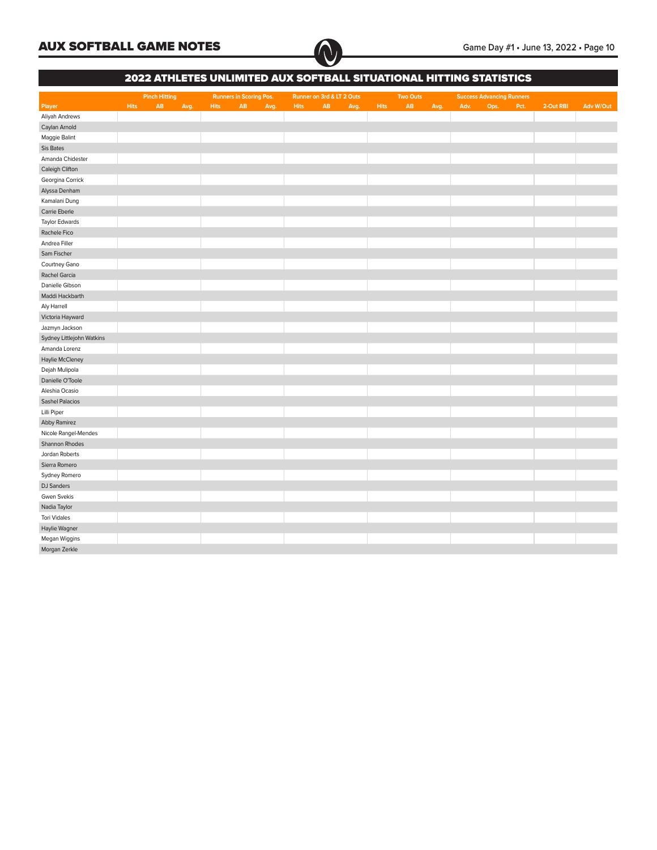

|                           |             | 2022 ATHLETES UNLIMITED AUX SOFTBALL SITUATIONAL HITTING STATISTICS |             |                                |      |             |                           |      |             |                 |      |      |                                  |      |           |           |
|---------------------------|-------------|---------------------------------------------------------------------|-------------|--------------------------------|------|-------------|---------------------------|------|-------------|-----------------|------|------|----------------------------------|------|-----------|-----------|
|                           |             | <b>Pinch Hitting</b>                                                |             | <b>Runners in Scoring Pos.</b> |      |             | Runner on 3rd & LT 2 Outs |      |             | <b>Two Outs</b> |      |      | <b>Success Advancing Runners</b> |      |           |           |
| Player                    | <b>Hits</b> | $\mathsf{AB}$<br>Avg.                                               | <b>Hits</b> | $\mathsf{AB}$                  | Avg. | <b>Hits</b> | AB                        | Avg. | <b>Hits</b> | AB              | Avg. | Adv. | Ops.                             | Pct. | 2-Out RBI | Adv W/Out |
| Aliyah Andrews            |             |                                                                     |             |                                |      |             |                           |      |             |                 |      |      |                                  |      |           |           |
| Caylan Arnold             |             |                                                                     |             |                                |      |             |                           |      |             |                 |      |      |                                  |      |           |           |
| Maggie Balint             |             |                                                                     |             |                                |      |             |                           |      |             |                 |      |      |                                  |      |           |           |
| Sis Bates                 |             |                                                                     |             |                                |      |             |                           |      |             |                 |      |      |                                  |      |           |           |
| Amanda Chidester          |             |                                                                     |             |                                |      |             |                           |      |             |                 |      |      |                                  |      |           |           |
| Caleigh Clifton           |             |                                                                     |             |                                |      |             |                           |      |             |                 |      |      |                                  |      |           |           |
| Georgina Corrick          |             |                                                                     |             |                                |      |             |                           |      |             |                 |      |      |                                  |      |           |           |
| Alyssa Denham             |             |                                                                     |             |                                |      |             |                           |      |             |                 |      |      |                                  |      |           |           |
| Kamalani Dung             |             |                                                                     |             |                                |      |             |                           |      |             |                 |      |      |                                  |      |           |           |
| Carrie Eberle             |             |                                                                     |             |                                |      |             |                           |      |             |                 |      |      |                                  |      |           |           |
| <b>Taylor Edwards</b>     |             |                                                                     |             |                                |      |             |                           |      |             |                 |      |      |                                  |      |           |           |
| Rachele Fico              |             |                                                                     |             |                                |      |             |                           |      |             |                 |      |      |                                  |      |           |           |
| Andrea Filler             |             |                                                                     |             |                                |      |             |                           |      |             |                 |      |      |                                  |      |           |           |
| Sam Fischer               |             |                                                                     |             |                                |      |             |                           |      |             |                 |      |      |                                  |      |           |           |
| Courtney Gano             |             |                                                                     |             |                                |      |             |                           |      |             |                 |      |      |                                  |      |           |           |
| Rachel Garcia             |             |                                                                     |             |                                |      |             |                           |      |             |                 |      |      |                                  |      |           |           |
| Danielle Gibson           |             |                                                                     |             |                                |      |             |                           |      |             |                 |      |      |                                  |      |           |           |
| Maddi Hackbarth           |             |                                                                     |             |                                |      |             |                           |      |             |                 |      |      |                                  |      |           |           |
| Aly Harrell               |             |                                                                     |             |                                |      |             |                           |      |             |                 |      |      |                                  |      |           |           |
| Victoria Hayward          |             |                                                                     |             |                                |      |             |                           |      |             |                 |      |      |                                  |      |           |           |
| Jazmyn Jackson            |             |                                                                     |             |                                |      |             |                           |      |             |                 |      |      |                                  |      |           |           |
| Sydney Littlejohn Watkins |             |                                                                     |             |                                |      |             |                           |      |             |                 |      |      |                                  |      |           |           |
| Amanda Lorenz             |             |                                                                     |             |                                |      |             |                           |      |             |                 |      |      |                                  |      |           |           |
| Haylie McCleney           |             |                                                                     |             |                                |      |             |                           |      |             |                 |      |      |                                  |      |           |           |
|                           |             |                                                                     |             |                                |      |             |                           |      |             |                 |      |      |                                  |      |           |           |
| Dejah Mulipola            |             |                                                                     |             |                                |      |             |                           |      |             |                 |      |      |                                  |      |           |           |
| Danielle O'Toole          |             |                                                                     |             |                                |      |             |                           |      |             |                 |      |      |                                  |      |           |           |
| Aleshia Ocasio            |             |                                                                     |             |                                |      |             |                           |      |             |                 |      |      |                                  |      |           |           |
| <b>Sashel Palacios</b>    |             |                                                                     |             |                                |      |             |                           |      |             |                 |      |      |                                  |      |           |           |
| Lilli Piper               |             |                                                                     |             |                                |      |             |                           |      |             |                 |      |      |                                  |      |           |           |
| Abby Ramirez              |             |                                                                     |             |                                |      |             |                           |      |             |                 |      |      |                                  |      |           |           |
| Nicole Rangel-Mendes      |             |                                                                     |             |                                |      |             |                           |      |             |                 |      |      |                                  |      |           |           |
| Shannon Rhodes            |             |                                                                     |             |                                |      |             |                           |      |             |                 |      |      |                                  |      |           |           |
| Jordan Roberts            |             |                                                                     |             |                                |      |             |                           |      |             |                 |      |      |                                  |      |           |           |
| Sierra Romero             |             |                                                                     |             |                                |      |             |                           |      |             |                 |      |      |                                  |      |           |           |
| Sydney Romero             |             |                                                                     |             |                                |      |             |                           |      |             |                 |      |      |                                  |      |           |           |
| DJ Sanders                |             |                                                                     |             |                                |      |             |                           |      |             |                 |      |      |                                  |      |           |           |
| <b>Gwen Svekis</b>        |             |                                                                     |             |                                |      |             |                           |      |             |                 |      |      |                                  |      |           |           |
| Nadia Taylor              |             |                                                                     |             |                                |      |             |                           |      |             |                 |      |      |                                  |      |           |           |
| <b>Tori Vidales</b>       |             |                                                                     |             |                                |      |             |                           |      |             |                 |      |      |                                  |      |           |           |
| Haylie Wagner             |             |                                                                     |             |                                |      |             |                           |      |             |                 |      |      |                                  |      |           |           |
| Megan Wiggins             |             |                                                                     |             |                                |      |             |                           |      |             |                 |      |      |                                  |      |           |           |
| Morgan Zerkle             |             |                                                                     |             |                                |      |             |                           |      |             |                 |      |      |                                  |      |           |           |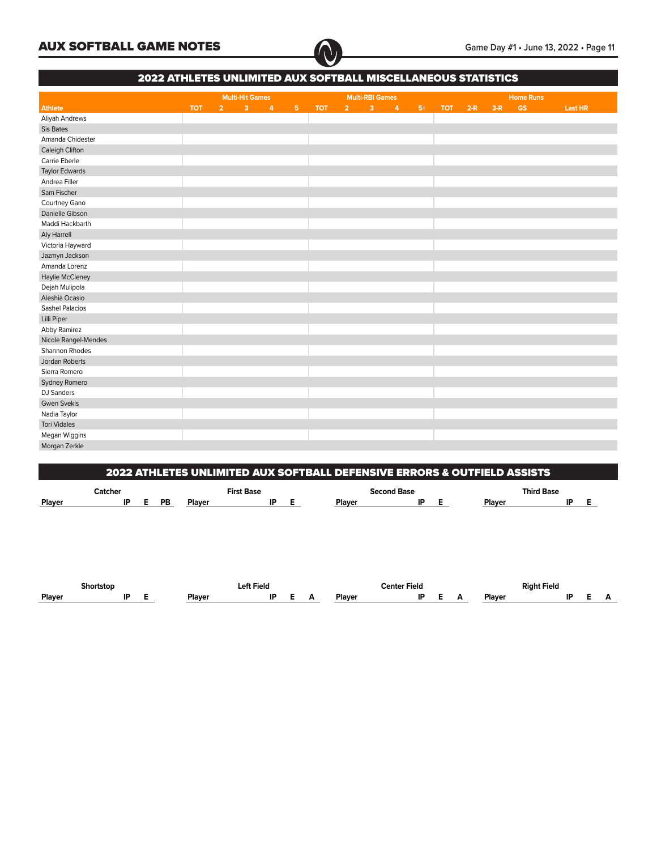

٦

|                        | <b>2022 ATHLETES UNLIMITED AUX SOFTBALL MISCELLANEOUS STATISTICS</b> |                |                        |                |            |       |                        |                |      |            |       |       |                  |                |
|------------------------|----------------------------------------------------------------------|----------------|------------------------|----------------|------------|-------|------------------------|----------------|------|------------|-------|-------|------------------|----------------|
|                        |                                                                      |                | <b>Multi-Hit Games</b> |                |            |       | <b>Multi-RBI Games</b> |                |      |            |       |       | <b>Home Runs</b> |                |
| <b>Athlete</b>         | <b>TOT</b>                                                           | 2 <sup>2</sup> | $3 \t4$                | 5 <sub>1</sub> | <b>TOT</b> | $2 -$ | 3 <sup>2</sup>         | $\overline{4}$ | $5+$ | <b>TOT</b> | $2-R$ | $3-R$ | <b>GS</b>        | <b>Last HR</b> |
| <b>Aliyah Andrews</b>  |                                                                      |                |                        |                |            |       |                        |                |      |            |       |       |                  |                |
| Sis Bates              |                                                                      |                |                        |                |            |       |                        |                |      |            |       |       |                  |                |
| Amanda Chidester       |                                                                      |                |                        |                |            |       |                        |                |      |            |       |       |                  |                |
| Caleigh Clifton        |                                                                      |                |                        |                |            |       |                        |                |      |            |       |       |                  |                |
| Carrie Eberle          |                                                                      |                |                        |                |            |       |                        |                |      |            |       |       |                  |                |
| <b>Taylor Edwards</b>  |                                                                      |                |                        |                |            |       |                        |                |      |            |       |       |                  |                |
| Andrea Filler          |                                                                      |                |                        |                |            |       |                        |                |      |            |       |       |                  |                |
| Sam Fischer            |                                                                      |                |                        |                |            |       |                        |                |      |            |       |       |                  |                |
| Courtney Gano          |                                                                      |                |                        |                |            |       |                        |                |      |            |       |       |                  |                |
| Danielle Gibson        |                                                                      |                |                        |                |            |       |                        |                |      |            |       |       |                  |                |
| Maddi Hackbarth        |                                                                      |                |                        |                |            |       |                        |                |      |            |       |       |                  |                |
| Aly Harrell            |                                                                      |                |                        |                |            |       |                        |                |      |            |       |       |                  |                |
| Victoria Hayward       |                                                                      |                |                        |                |            |       |                        |                |      |            |       |       |                  |                |
| Jazmyn Jackson         |                                                                      |                |                        |                |            |       |                        |                |      |            |       |       |                  |                |
| Amanda Lorenz          |                                                                      |                |                        |                |            |       |                        |                |      |            |       |       |                  |                |
| Haylie McCleney        |                                                                      |                |                        |                |            |       |                        |                |      |            |       |       |                  |                |
| Dejah Mulipola         |                                                                      |                |                        |                |            |       |                        |                |      |            |       |       |                  |                |
| Aleshia Ocasio         |                                                                      |                |                        |                |            |       |                        |                |      |            |       |       |                  |                |
| <b>Sashel Palacios</b> |                                                                      |                |                        |                |            |       |                        |                |      |            |       |       |                  |                |
| Lilli Piper            |                                                                      |                |                        |                |            |       |                        |                |      |            |       |       |                  |                |
| Abby Ramirez           |                                                                      |                |                        |                |            |       |                        |                |      |            |       |       |                  |                |
| Nicole Rangel-Mendes   |                                                                      |                |                        |                |            |       |                        |                |      |            |       |       |                  |                |
| Shannon Rhodes         |                                                                      |                |                        |                |            |       |                        |                |      |            |       |       |                  |                |
| Jordan Roberts         |                                                                      |                |                        |                |            |       |                        |                |      |            |       |       |                  |                |
| Sierra Romero          |                                                                      |                |                        |                |            |       |                        |                |      |            |       |       |                  |                |
| Sydney Romero          |                                                                      |                |                        |                |            |       |                        |                |      |            |       |       |                  |                |
| DJ Sanders             |                                                                      |                |                        |                |            |       |                        |                |      |            |       |       |                  |                |
| <b>Gwen Svekis</b>     |                                                                      |                |                        |                |            |       |                        |                |      |            |       |       |                  |                |
| Nadia Taylor           |                                                                      |                |                        |                |            |       |                        |                |      |            |       |       |                  |                |
| <b>Tori Vidales</b>    |                                                                      |                |                        |                |            |       |                        |                |      |            |       |       |                  |                |
| Megan Wiggins          |                                                                      |                |                        |                |            |       |                        |                |      |            |       |       |                  |                |
| Morgan Zerkle          |                                                                      |                |                        |                |            |       |                        |                |      |            |       |       |                  |                |

|               |         |    |        |                   | 2022 ATHLETES UNLIMITED AUX SOFTBALL DEFENSIVE ERRORS & OUTFIELD ASSISTS |                   |    |  |
|---------------|---------|----|--------|-------------------|--------------------------------------------------------------------------|-------------------|----|--|
|               | Catcher |    |        | <b>First Base</b> | <b>Second Base</b>                                                       | <b>Third Base</b> |    |  |
| <b>Plaver</b> |         | РB | Plaver | IP                | IP<br>Plaver                                                             | Plaver            | ID |  |

|        | Shortston |    |  |        | Lefi<br>Field |  |        | enter Field: |  |        | Riaht Field |  |  |
|--------|-----------|----|--|--------|---------------|--|--------|--------------|--|--------|-------------|--|--|
| Plaver |           | חו |  | Plaver |               |  | ۱۵۱٬۰۰ | IP           |  | Plaver |             |  |  |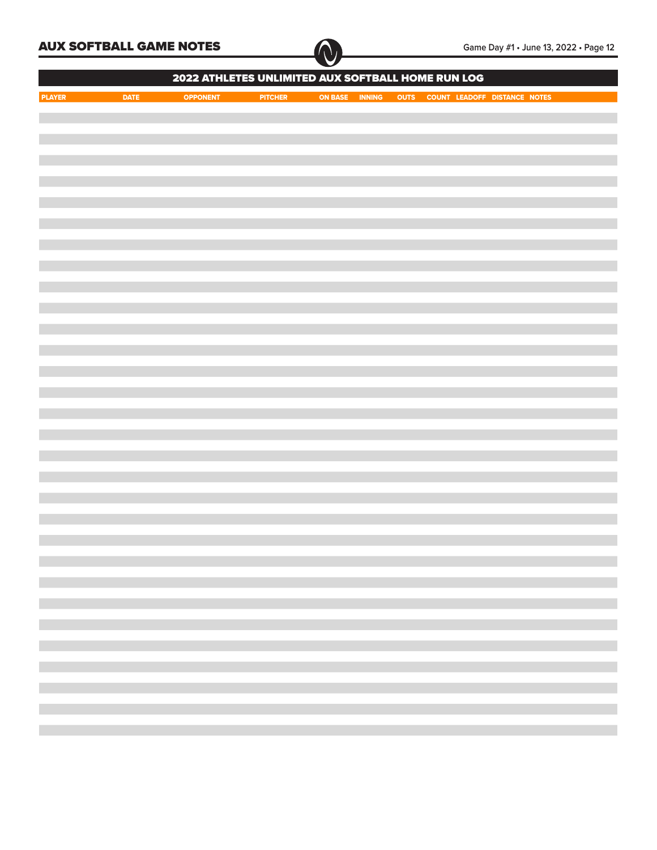

|               |             | 2022 ATHLETES UNLIMITED AUX SOFTBALL HOME RUN LOG |                |                |  |                                   |  |
|---------------|-------------|---------------------------------------------------|----------------|----------------|--|-----------------------------------|--|
| <b>PLAYER</b> | <b>DATE</b> | OPPONENT                                          | <b>PITCHER</b> | ON BASE INNING |  | OUTS COUNT LEADOFF DISTANCE NOTES |  |
|               |             |                                                   |                |                |  |                                   |  |
|               |             |                                                   |                |                |  |                                   |  |
|               |             |                                                   |                |                |  |                                   |  |
|               |             |                                                   |                |                |  |                                   |  |
|               |             |                                                   |                |                |  |                                   |  |
|               |             |                                                   |                |                |  |                                   |  |
|               |             |                                                   |                |                |  |                                   |  |
|               |             |                                                   |                |                |  |                                   |  |
|               |             |                                                   |                |                |  |                                   |  |
|               |             |                                                   |                |                |  |                                   |  |
|               |             |                                                   |                |                |  |                                   |  |
|               |             |                                                   |                |                |  |                                   |  |
|               |             |                                                   |                |                |  |                                   |  |
|               |             |                                                   |                |                |  |                                   |  |
|               |             |                                                   |                |                |  |                                   |  |
|               |             |                                                   |                |                |  |                                   |  |
|               |             |                                                   |                |                |  |                                   |  |
|               |             |                                                   |                |                |  |                                   |  |
|               |             |                                                   |                |                |  |                                   |  |
|               |             |                                                   |                |                |  |                                   |  |
|               |             |                                                   |                |                |  |                                   |  |
|               |             |                                                   |                |                |  |                                   |  |
|               |             |                                                   |                |                |  |                                   |  |
|               |             |                                                   |                |                |  |                                   |  |
|               |             |                                                   |                |                |  |                                   |  |
|               |             |                                                   |                |                |  |                                   |  |
|               |             |                                                   |                |                |  |                                   |  |
|               |             |                                                   |                |                |  |                                   |  |
|               |             |                                                   |                |                |  |                                   |  |
|               |             |                                                   |                |                |  |                                   |  |
|               |             |                                                   |                |                |  |                                   |  |
|               |             |                                                   |                |                |  |                                   |  |
|               |             |                                                   |                |                |  |                                   |  |
|               |             |                                                   |                |                |  |                                   |  |
|               |             |                                                   |                |                |  |                                   |  |
|               |             |                                                   |                |                |  |                                   |  |
|               |             |                                                   |                |                |  |                                   |  |
|               |             |                                                   |                |                |  |                                   |  |
|               |             |                                                   |                |                |  |                                   |  |
|               |             |                                                   |                |                |  |                                   |  |
|               |             |                                                   |                |                |  |                                   |  |
|               |             |                                                   |                |                |  |                                   |  |
|               |             |                                                   |                |                |  |                                   |  |
|               |             |                                                   |                |                |  |                                   |  |
|               |             |                                                   |                |                |  |                                   |  |
|               |             |                                                   |                |                |  |                                   |  |
|               |             |                                                   |                |                |  |                                   |  |
|               |             |                                                   |                |                |  |                                   |  |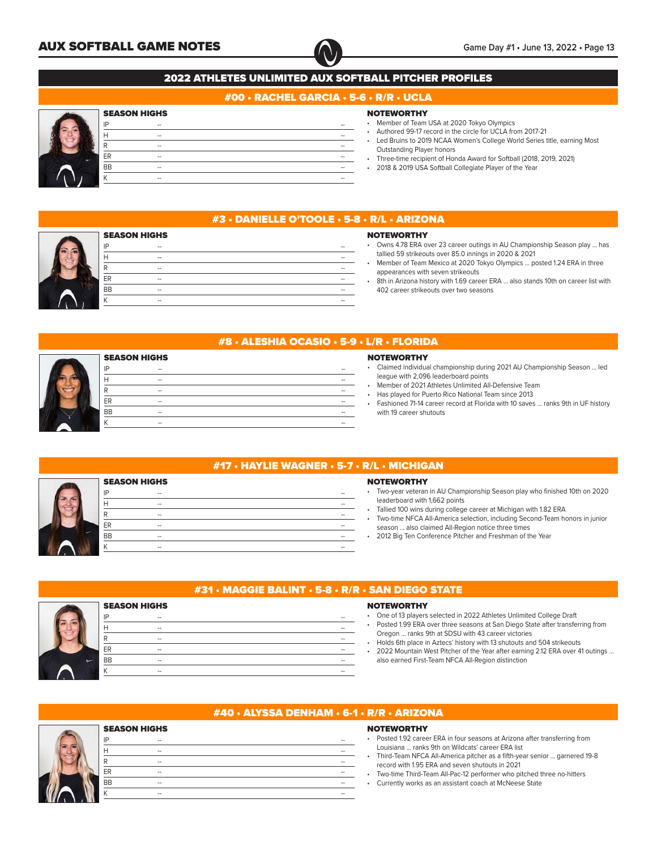

## #00 • RACHEL GARCIA • 5-6 • R/R • UCLA

## SEASON HIGHS

|   | IP                            | $\hspace{0.05cm} -$ | --                       |
|---|-------------------------------|---------------------|--------------------------|
|   | Н                             | --                  | $\overline{\phantom{a}}$ |
|   | R                             | --                  | --                       |
| ۰ | ER                            | --                  | --                       |
|   | <b>BB</b>                     | --                  | --                       |
|   | $\overline{\phantom{a}}$<br>N | --                  | --                       |
|   |                               |                     |                          |

## **NOTEWORTHY**

- Member of Team USA at 2020 Tokyo Olympics
- Authored 99-17 record in the circle for UCLA from 2017-21
- Led Bruins to 2019 NCAA Women's College World Series title, earning Most Outstanding Player honors
- Three-time recipient of Honda Award for Softball (2018, 2019, 2021)
- 2018 & 2019 USA Softball Collegiate Player of the Year



## #3 • DANIELLE O'TOOLE • 5-8 • R/L • ARIZONA

|           | <b>SEASON HIGHS</b>      |    |
|-----------|--------------------------|----|
| IP        | $\overline{\phantom{a}}$ | -- |
| Н         | $\overline{\phantom{a}}$ | -- |
| R         | $\overline{\phantom{a}}$ | -- |
| ER        | $\overline{\phantom{a}}$ | -- |
| <b>BB</b> | $\overline{\phantom{a}}$ | -- |
|           | --                       | -- |
|           |                          |    |

## **NOTEWORTHY** • Owns 4.78 ERA over 23 career outings in AU Championship Season play ... has

- tallied 59 strikeouts over 85.0 innings in 2020 & 2021 • Member of Team Mexico at 2020 Tokyo Olympics ... posted 1.24 ERA in three appearances with seven strikeouts
- 8th in Arizona history with 1.69 career ERA ... also stands 10th on career list with 402 career strikeouts over two seasons

| <b>NOTEWORTHY</b><br>• Claimed individual championship during 2021 AU Championship Season  led<br>league with 2,096 leaderboard points<br>Member of 2021 Athletes Unlimited All-Defensive Team<br>Has played for Puerto Rico National Team since 2013<br>Fashioned 71-14 career record at Florida with 10 saves  ranks 9th in UF history<br>with 19 career shutouts |
|---------------------------------------------------------------------------------------------------------------------------------------------------------------------------------------------------------------------------------------------------------------------------------------------------------------------------------------------------------------------|
|                                                                                                                                                                                                                                                                                                                                                                     |

|                     | #17 $\cdot$ HAYLIE WAGNER $\cdot$ 5-7 $\cdot$ R/L $\cdot$ |
|---------------------|-----------------------------------------------------------|
| <b>SEASON HIGHS</b> |                                                           |
| IP<br>--            |                                                           |
| н<br>--             |                                                           |
| R<br>--             |                                                           |
| ER<br>--            |                                                           |
| <b>BB</b><br>--     |                                                           |
| К<br>$-$            |                                                           |

IP -- -- H -- -- R -- -- ER -- -- BB -- -- K -- --

# **MICHIGAN**

## **EWORTHY**

• Two-year veteran in AU Championship Season play who finished 10th on 2020 derboard with 1,662 points

- ied 100 wins during college career at Michigan with 1.82 ERA
- Two-time NFCA All-America selection, including Second-Team honors in junior son ... also claimed All-Region notice three times
- 2012 Big Ten Conference Pitcher and Freshman of the Year



## #31 • MAGGIE BALINT • 5-8 • R/R • SAN DIEGO STATE

## **NOTEWORTHY**

- One of 13 players selected in 2022 Athletes Unlimited College Draft
- Posted 1.99 ERA over three seasons at San Diego State after transferring from Oregon ... ranks 9th at SDSU with 43 career victories
- Holds 6th place in Aztecs' history with 13 shutouts and 504 strikeouts
- 2022 Mountain West Pitcher of the Year after earning 2.12 ERA over 41 outings ... also earned First-Team NFCA All-Region distinction

|  |           | <b>SEASON HIGHS</b>      |  |    |  |  |
|--|-----------|--------------------------|--|----|--|--|
|  | IP        | $\overline{\phantom{a}}$ |  | -- |  |  |
|  |           | --                       |  | -- |  |  |
|  | R         | --                       |  | -- |  |  |
|  | ER        | --                       |  | -- |  |  |
|  | <b>BB</b> | $\overline{\phantom{a}}$ |  | -- |  |  |
|  |           | --                       |  | -- |  |  |
|  |           |                          |  |    |  |  |

## #40 • ALYSSA DENHAM • 6-1 • R/R • ARIZONA

## **NOTEWORTHY**

| • Posted 1.92 career ERA in four seasons at Arizona after transferring from |
|-----------------------------------------------------------------------------|
| Louisiana  ranks 9th on Wildcats' career ERA list                           |
| • Third-Team NFCA All-America pitcher as a fifth-year senior  garnered 19-8 |
| record with 1.95 ERA and seven shutouts in 2021                             |
| • Two-time Third-Team All-Pac-12 performer who pitched three no-hitters     |

• Currently works as an assistant coach at McNeese State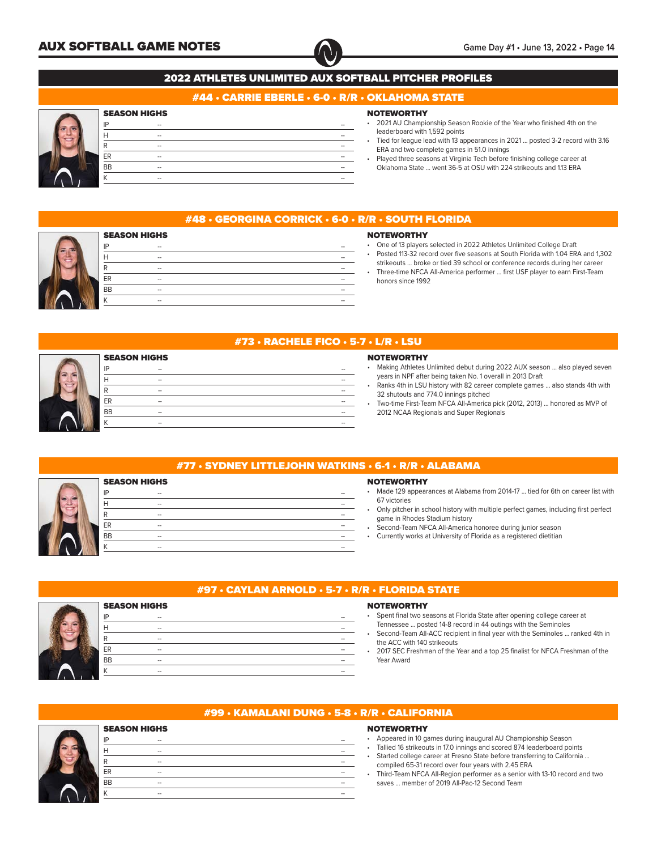

## #44 • CARRIE EBERLE • 6-0 • R/R • OKLAHOMA STATE

## SEASON HIGHS

SEASON HIGHS

| IP        | --  |    |
|-----------|-----|----|
|           | $-$ | -- |
| ה         | $-$ |    |
| ER        | --  |    |
| <b>BB</b> | --  |    |
|           | $-$ | -- |
|           |     |    |

IP -- -- H -- -- R -- -- ER -- -- BB -- -- K -- --

## **NOTEWORTHY**

- 2021 AU Championship Season Rookie of the Year who finished 4th on the leaderboard with 1,592 points
- Tied for league lead with 13 appearances in 2021 ... posted 3-2 record with 3.16 ERA and two complete games in 51.0 innings
- Played three seasons at Virginia Tech before finishing college career at Oklahoma State ... went 36-5 at OSU with 224 strikeouts and 1.13 ERA



## #48 • GEORGINA CORRICK • 6-0 • R/R • SOUTH FLORIDA

## **NOTEWORTHY**

- One of 13 players selected in 2022 Athletes Unlimited College Draft
- Posted 113-32 record over five seasons at South Florida with 1.04 ERA and 1,302 strikeouts ... broke or tied 39 school or conference records during her career
- Three-time NFCA All-America performer ... first USF player to earn First-Team honors since 1992



## #73 • RACHELE FICO • 5-7 • L/R • LSU

## **NOTEWORTHY**

- Making Athletes Unlimited debut during 2022 AUX season ... also played seven years in NPF after being taken No. 1 overall in 2013 Draft
- Ranks 4th in LSU history with 82 career complete games ... also stands 4th with 32 shutouts and 774.0 innings pitched
- Two-time First-Team NFCA All-America pick (2012, 2013) ... honored as MVP of 2012 NCAA Regionals and Super Regionals

|                     | #77 · SYDNEY LITTLEJOHN WATKINS · 6-1 · R |                         |
|---------------------|-------------------------------------------|-------------------------|
| <b>SEASON HIGHS</b> |                                           | <b>NOTEWO</b>           |
| IP<br>--            |                                           | Made 129                |
| $\overline{a}$      |                                           | 67 victorie             |
| $\hspace{0.05cm}$   |                                           | Only pitch<br>game in R |
| <b>ER</b><br>--     |                                           | Second-T                |
| <b>BB</b><br>--     |                                           | Currently               |
| --                  |                                           |                         |
|                     |                                           |                         |

IP -- -- H -- -- R -- -- ER -- -- BB -- -- K -- --

## RTHY

appearances at Alabama from 2014-17 ... tied for 6th on career list with  $25$ 

- her in school history with multiple perfect games, including first perfect Rhodes Stadium history
- eam NFCA All-America honoree during junior season

 $\overline{/R \cdot ALABAMA}$ 

works at University of Florida as a registered dietitian



## #97 • CAYLAN ARNOLD • 5-7 • R/R • FLORIDA STATE

#### **NOTEWORTHY**

- Spent final two seasons at Florida State after opening college career at
- Tennessee ... posted 14-8 record in 44 outings with the Seminoles
- Second-Team All-ACC recipient in final year with the Seminoles ... ranked 4th in the ACC with 140 strikeouts
- 2017 SEC Freshman of the Year and a top 25 finalist for NFCA Freshman of the Year Award



SEASON HIGHS

## #99 • KAMALANI DUNG • 5-8 • R/R • CALIFORNIA

IP -- -- H -- -- R -- -- ER -- -- BB -- -- K -- --

- Appeared in 10 games during inaugural AU Championship Season
- Tallied 16 strikeouts in 17.0 innings and scored 874 leaderboard points
- Started college career at Fresno State before transferring to California ... compiled 65-31 record over four years with 2.45 ERA
- Third-Team NFCA All-Region performer as a senior with 13-10 record and two saves ... member of 2019 All-Pac-12 Second Team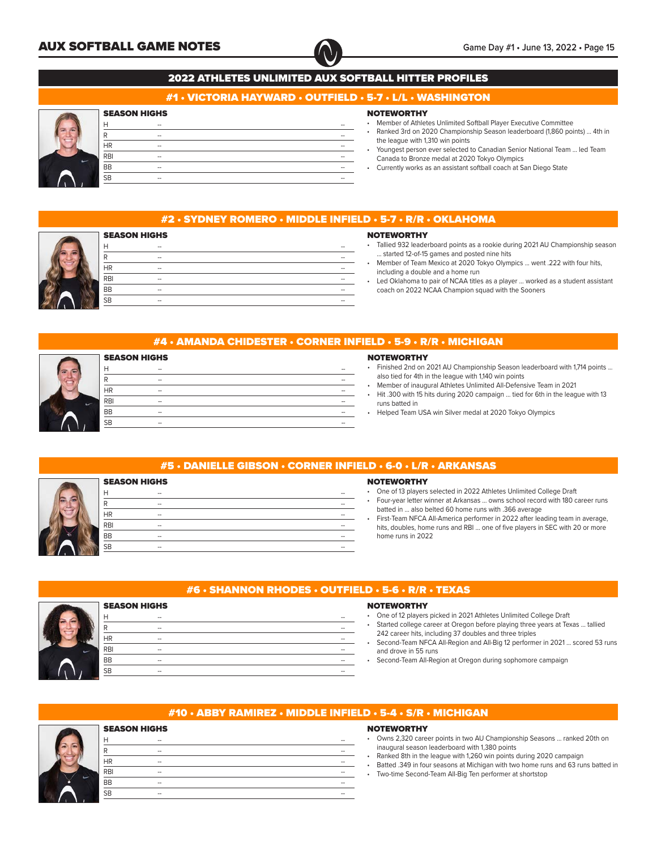

## #1 • VICTORIA HAYWARD • OUTFIELD • 5-7 • L/L • WASHINGTON

## SEASON HIGHS

| −          | $\hspace{0.05cm} -$      | -- |  |
|------------|--------------------------|----|--|
|            | $\overline{\phantom{a}}$ |    |  |
| HR         | $\hspace{0.05cm} -$      | -- |  |
| <b>RBI</b> | $\hspace{0.05cm} -$      | -- |  |
| <b>BB</b>  | $\overline{\phantom{a}}$ |    |  |
| <b>SB</b>  | $\hspace{0.05cm} -$      | -- |  |
|            |                          |    |  |

## **NOTEWORTHY**

**NOTEWORTHY** 

- Member of Athletes Unlimited Softball Player Executive Committee
- Ranked 3rd on 2020 Championship Season leaderboard (1,860 points) ... 4th in the league with 1,310 win points
- Youngest person ever selected to Canadian Senior National Team ... led Team Canada to Bronze medal at 2020 Tokyo Olympics
- Currently works as an assistant softball coach at San Diego State

## #2 • SYDNEY ROMERO • MIDDLE INFIELD • 5-7 • R/R • OKLAHOMA



|  | .                                                                               |
|--|---------------------------------------------------------------------------------|
|  | • Tallied 932 leaderboard points as a rookie during 2021 AU Championship season |
|  |                                                                                 |

- . started 12-of-15 games and posted nine hits • Member of Team Mexico at 2020 Tokyo Olympics ... went .222 with four hits, including a double and a home run
- Led Oklahoma to pair of NCAA titles as a player ... worked as a student assistant coach on 2022 NCAA Champion squad with the Sooners
- #4 AMANDA CHIDESTER CORNER INFIELD 5-9 R/R MICHIGAN

| <b>SEASON HIGHS</b> |                          |    |
|---------------------|--------------------------|----|
| н                   | $\hspace{0.05cm}$        | -- |
| R                   | $\overline{\phantom{a}}$ | -- |
| ΗR                  | $\overline{\phantom{a}}$ | -- |
| <b>RBI</b>          | $\hspace{0.05cm}$        | -- |
| <b>BB</b>           | $\hspace{0.05cm}$        | -- |
| <b>SB</b>           | $\hspace{0.05cm}$        | -- |
|                     |                          |    |

#### **NOTEWORTHY**

- Finished 2nd on 2021 AU Championship Season leaderboard with 1,714 points ... also tied for 4th in the league with 1,140 win points
- Member of inaugural Athletes Unlimited All-Defensive Team in 2021
- Hit .300 with 15 hits during 2020 campaign ... tied for 6th in the league with 13 runs batted in
- Helped Team USA win Silver medal at 2020 Tokyo Olympics

## #5 • DANIELLE GIBSON • CORNER INFIELD • 6-0 • L/R • ARKANSAS

|            | <b>SEASON HIGHS</b>      |  |    |
|------------|--------------------------|--|----|
| н          | $-$                      |  | -- |
| п          | $\overline{\phantom{a}}$ |  | -- |
| ΗR         | --                       |  | -- |
| <b>RBI</b> | $\overline{\phantom{a}}$ |  | -- |
| <b>BB</b>  | $\overline{\phantom{a}}$ |  | -- |
| <b>SB</b>  | $\overline{\phantom{a}}$ |  | -- |
|            |                          |  |    |

#### **NOTEWORTHY**

- One of 13 players selected in 2022 Athletes Unlimited College Draft
- Four-year letter winner at Arkansas ... owns school record with 180 career runs batted in ... also belted 60 home runs with .366 average
- First-Team NFCA All-America performer in 2022 after leading team in average, hits, doubles, home runs and RBI ... one of five players in SEC with 20 or more home runs in 2022



## #6 • SHANNON RHODES • OUTFIELD • 5-6 • R/R • TEXAS

## H -- -- R -- --

## **NOTEWORTHY**

- One of 12 players picked in 2021 Athletes Unlimited College Draft
- Started college career at Oregon before playing three years at Texas ... tallied 242 career hits, including 37 doubles and three triples
- Second-Team NFCA All-Region and All-Big 12 performer in 2021 ... scored 53 runs and drove in 55 runs
- Second-Team All-Region at Oregon during sophomore campaign

## #10 • ABBY RAMIREZ • MIDDLE INFIELD • 5-4 • S/R • MICHIGAN

# SEASON HIGHS

| $\hspace{0.05cm}$ | $\overline{\phantom{a}}$ |
|-------------------|--------------------------|
| $\hspace{0.05cm}$ | $\overline{\phantom{a}}$ |
| $\hspace{0.05cm}$ | $\overline{\phantom{a}}$ |
| $\hspace{0.05cm}$ | $\hspace{0.05cm}$        |
| $-$               | $\overline{\phantom{a}}$ |
| $\hspace{0.05cm}$ | $\overline{\phantom{a}}$ |
|                   |                          |

- Owns 2,320 career points in two AU Championship Seasons ... ranked 20th on inaugural season leaderboard with 1,380 points
- Ranked 8th in the league with 1,260 win points during 2020 campaign
- Batted .349 in four seasons at Michigan with two home runs and 63 runs batted in
- Two-time Second-Team All-Big Ten performer at shortstop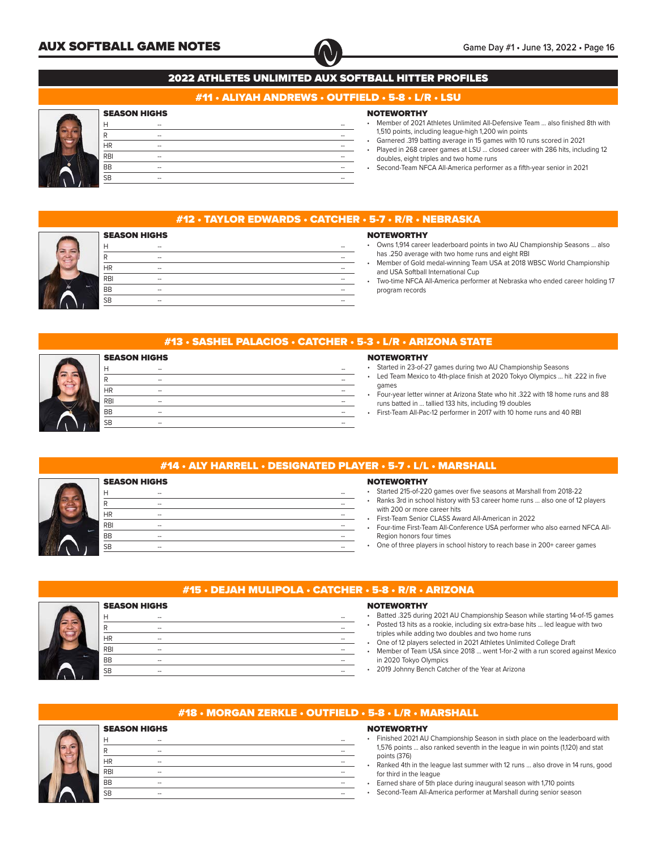

## #11 • ALIYAH ANDREWS • OUTFIELD • 5-8 • L/R • LSU

## **SEASON HIGHS**

| Н          | $\hspace{0.05cm}$   | $\overline{\phantom{a}}$ |
|------------|---------------------|--------------------------|
| ח          | $\hspace{0.05cm} -$ | --                       |
| <b>HR</b>  | $\hspace{0.05cm} -$ | --                       |
| <b>RBI</b> | $\hspace{0.05cm} -$ | $\overline{\phantom{a}}$ |
| <b>BB</b>  | $-$                 | --                       |
| <b>SB</b>  | $\hspace{0.05cm} -$ | --                       |
|            |                     |                          |

## **NOTEWORTHY**

- Member of 2021 Athletes Unlimited All-Defensive Team ... also finished 8th with 1,510 points, including league-high 1,200 win points
- Garnered .319 batting average in 15 games with 10 runs scored in 2021 Played in 268 career games at LSU ... closed career with 286 hits, including 12
- doubles, eight triples and two home runs • Second-Team NFCA All-America performer as a fifth-year senior in 2021
- 

| . #12 • TAYLOR EDWARDS • CATCHER • 5-7 • R/R • NEBRASKA |
|---------------------------------------------------------|
|                                                         |
|                                                         |

#### **NOTEWORTHY**

| <b>SEASON HIGHS</b> |     |  |  |    |  |  |
|---------------------|-----|--|--|----|--|--|
|                     | --  |  |  | -- |  |  |
| ₽                   | $-$ |  |  | -- |  |  |
| <b>HR</b>           | $-$ |  |  | -- |  |  |
| <b>RBI</b>          | $-$ |  |  | -- |  |  |
| <b>BB</b>           | $-$ |  |  | -- |  |  |
| <b>SB</b>           | --  |  |  | -- |  |  |
|                     |     |  |  |    |  |  |

- Owns 1,914 career leaderboard points in two AU Championship Seasons ... also has .250 average with two home runs and eight RBI • Member of Gold medal-winning Team USA at 2018 WBSC World Championship and USA Softball International Cup
- Two-time NFCA All-America performer at Nebraska who ended career holding 17 program records

## #13 • SASHEL PALACIOS • CATCHER • 5-3 • L/R • ARIZONA STATE

|            | <b>SEASON HIGHS</b>      |  |    |
|------------|--------------------------|--|----|
|            | --                       |  |    |
|            | $\overline{\phantom{a}}$ |  | -- |
| <b>HR</b>  | $\overline{\phantom{a}}$ |  | -- |
| <b>RBI</b> | $\overline{\phantom{a}}$ |  | -- |
| <b>BB</b>  | --                       |  | -- |
| <b>SB</b>  | --                       |  | -- |
|            |                          |  |    |

## **NOTEWORTHY**

- Started in 23-of-27 games during two AU Championship Seasons
- Led Team Mexico to 4th-place finish at 2020 Tokyo Olympics ... hit .222 in five games
- Four-year letter winner at Arizona State who hit .322 with 18 home runs and 88 runs batted in ... tallied 133 hits, including 19 doubles
- First-Team All-Pac-12 performer in 2017 with 10 home runs and 40 RBI

## #14 • ALY HARRELL • DESIGNATED PLAYER • 5-7 • L/L • MARSHALL SEASON HIGHS H -- -- R -- -- HR -- -- RBI -- -- BB -- -- SB -- --

## **NOTEWORTHY**

- Started 215-of-220 games over five seasons at Marshall from 2018-22
- Ranks 3rd in school history with 53 career home runs ... also one of 12 players with 200 or more career hits
- First-Team Senior CLASS Award All-American in 2022
- Four-time First-Team All-Conference USA performer who also earned NFCA All-Region honors four times
- One of three players in school history to reach base in 200+ career games



SEASON HIGHS

## #15 • DEJAH MULIPOLA • CATCHER • 5-8 • R/R • ARIZONA

|            | <b>SEASON HIGHS</b>      |    |
|------------|--------------------------|----|
| Н          | --                       | -- |
| R          | $\overline{\phantom{a}}$ | -- |
| <b>HR</b>  | --                       | -- |
| <b>RBI</b> | --                       | -- |
| <b>BB</b>  | $\overline{\phantom{a}}$ | -- |
| <b>SB</b>  | $\overline{\phantom{a}}$ | -- |
|            |                          |    |

## **NOTEWORTHY**

- Batted .325 during 2021 AU Championship Season while starting 14-of-15 games Posted 13 hits as a rookie, including six extra-base hits ... led league with two
- triples while adding two doubles and two home runs
- One of 12 players selected in 2021 Athletes Unlimited College Draft • Member of Team USA since 2018 ... went 1-for-2 with a run scored against Mexico in 2020 Tokyo Olympics
- 2019 Johnny Bench Catcher of the Year at Arizona



## #18 • MORGAN ZERKLE • OUTFIELD • 5-8 • L/R • MARSHALL

## H -- -- R -- -- HR -- -- RBI -- -- BB -- -- SB -- --

- Finished 2021 AU Championship Season in sixth place on the leaderboard with 1,576 points ... also ranked seventh in the league in win points (1,120) and stat points (376)
- Ranked 4th in the league last summer with 12 runs ... also drove in 14 runs, good for third in the league
- Earned share of 5th place during inaugural season with 1,710 points
- Second-Team All-America performer at Marshall during senior season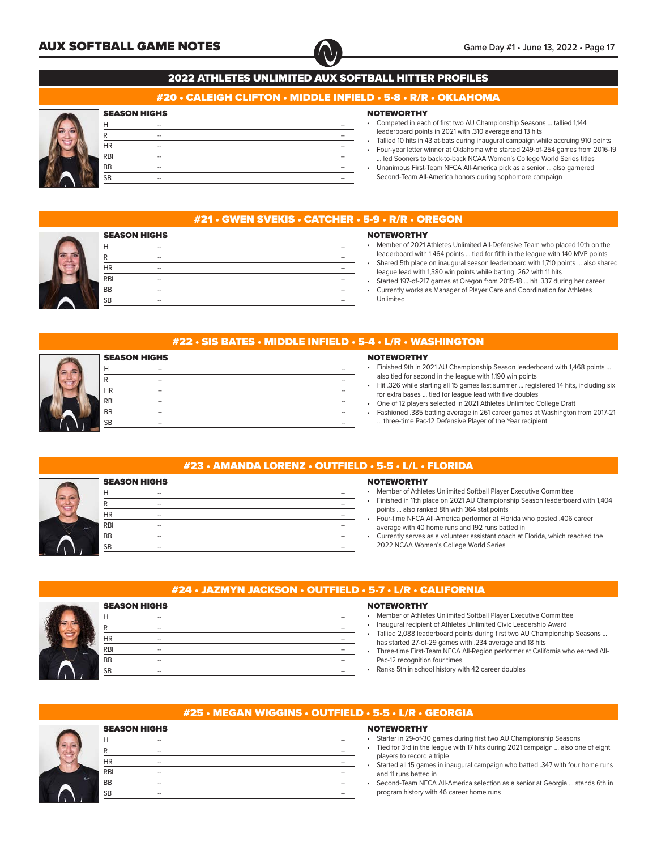

## #20 • CALEIGH CLIFTON • MIDDLE INFIELD • 5-8 • R/R • OKLAHOMA

## SEASON HIGHS

|  | Н          | $\hspace{0.05cm} -$      | --                       |
|--|------------|--------------------------|--------------------------|
|  | R          | $\hspace{0.05cm} -$      | $\overline{\phantom{a}}$ |
|  | <b>HR</b>  | $\overline{\phantom{a}}$ | --                       |
|  | <b>RBI</b> | $\hspace{0.05cm} -$      | --                       |
|  | <b>BB</b>  | $\overline{\phantom{a}}$ | $\overline{\phantom{a}}$ |
|  | <b>SB</b>  | $\overline{\phantom{a}}$ | --                       |
|  |            |                          |                          |

## **NOTEWORTHY**

- Competed in each of first two AU Championship Seasons ... tallied 1,144 leaderboard points in 2021 with .310 average and 13 hits
- Tallied 10 hits in 43 at-bats during inaugural campaign while accruing 910 points • Four-year letter winner at Oklahoma who started 249-of-254 games from 2016-19
- ... led Sooners to back-to-back NCAA Women's College World Series titles • Unanimous First-Team NFCA All-America pick as a senior ... also garnered
- Second-Team All-America honors during sophomore campaign



## #21 • GWEN SVEKIS • CATCHER • 5-9 • R/R • OREGON

|            | <b>SEASON HIGHS</b> |    |
|------------|---------------------|----|
| ⊢          | $-$                 | -- |
| ₽          | --                  | -- |
| ΗR         | $-$                 | -- |
| <b>RBI</b> | --                  | -- |
| <b>BB</b>  | $-$                 | -- |
| <b>SB</b>  | $-$                 | -- |
|            |                     |    |

## **NOTEWORTHY**

- Member of 2021 Athletes Unlimited All-Defensive Team who placed 10th on the leaderboard with 1,464 points ... tied for fifth in the league with 140 MVP points • Shared 5th place on inaugural season leaderboard with 1,710 points ... also shared
- league lead with 1,380 win points while batting .262 with 11 hits • Started 197-of-217 games at Oregon from 2015-18 ... hit .337 during her career
- Currently works as Manager of Player Care and Coordination for Athletes Unlimited

## #22 • SIS BATES • MIDDLE INFIELD • 5-4 • L/R • WASHINGTON

|            | <b>SEASON HIGHS</b> |    |
|------------|---------------------|----|
| Н          | $-$                 |    |
| ח          | $-$                 |    |
| <b>HR</b>  | --                  |    |
| <b>RBI</b> | $-$                 | -- |
| <b>BB</b>  | --                  |    |
| <b>SB</b>  | --                  |    |
|            |                     |    |

## **NOTEWORTHY**

- Finished 9th in 2021 AU Championship Season leaderboard with 1,468 points ... also tied for second in the league with 1,190 win points
- Hit .326 while starting all 15 games last summer ... registered 14 hits, including six for extra bases ... tied for league lead with five doubles
- One of 12 players selected in 2021 Athletes Unlimited College Draft
- Fashioned .385 batting average in 261 career games at Washington from 2017-21 ... three-time Pac-12 Defensive Player of the Year recipient

|                     | #23 • AMANDA LORENZ • OUTFIELD • 5-5 |                   |
|---------------------|--------------------------------------|-------------------|
| <b>SEASON HIGHS</b> |                                      | <b>NOTEW</b>      |
| Н<br>$-$            |                                      | Membe             |
| R<br>$-$            |                                      | Finishe           |
| <b>HR</b><br>--     |                                      | points<br>Four-ti |
| <b>RBI</b><br>--    |                                      | averag            |
| <b>BB</b><br>--     |                                      | Curren            |
| <b>SB</b><br>--     |                                      | 20221             |
|                     |                                      |                   |

## $\cdot$  L/L  $\cdot$  FLORIDA

## **ORTHY**

- er of Athletes Unlimited Softball Player Executive Committee
- ed in 11th place on 2021 AU Championship Season leaderboard with 1,404 ... also ranked 8th with 364 stat points
- me NFCA All-America performer at Florida who posted .406 career a with 40 home runs and 192 runs batted in
- .<br>Itly serves as a volunteer assistant coach at Florida, which reached the NCAA Women's College World Series



## #24 • JAZMYN JACKSON • OUTFIELD • 5-7 • L/R • CALIFORNIA

## **NOTEWORTHY**

- Member of Athletes Unlimited Softball Player Executive Committee
- Inaugural recipient of Athletes Unlimited Civic Leadership Award
- Tallied 2,088 leaderboard points during first two AU Championship Seasons ... has started 27-of-29 games with .234 average and 18 hits
- Three-time First-Team NFCA All-Region performer at California who earned All-Pac-12 recognition four times
- Ranks 5th in school history with 42 career doubles

| #25 • MEGAN WIGGINS • OUTFIELD • 5-5 • L/R • GEORGIA |  |  |
|------------------------------------------------------|--|--|
|------------------------------------------------------|--|--|

## **NOTEWORTHY**

- Starter in 29-of-30 games during first two AU Championship Seasons
- Tied for 3rd in the league with 17 hits during 2021 campaign ... also one of eight players to record a triple
- Started all 15 games in inaugural campaign who batted .347 with four home runs and 11 runs batted in
- Second-Team NFCA All-America selection as a senior at Georgia ... stands 6th in program history with 46 career home runs

| <b>SEASON HIGHS</b> |                   |    |
|---------------------|-------------------|----|
| ⊦                   | $-$               | -- |
| R                   | --                | -- |
| <b>HR</b>           | $\hspace{0.05cm}$ | -- |
| <b>RBI</b>          | --                | -- |
| <b>BB</b>           | $-$               | -- |
| <b>SB</b>           | --                |    |

H -- -- R -- -- HR -- -- RBI -- -- BB -- -- SB -- --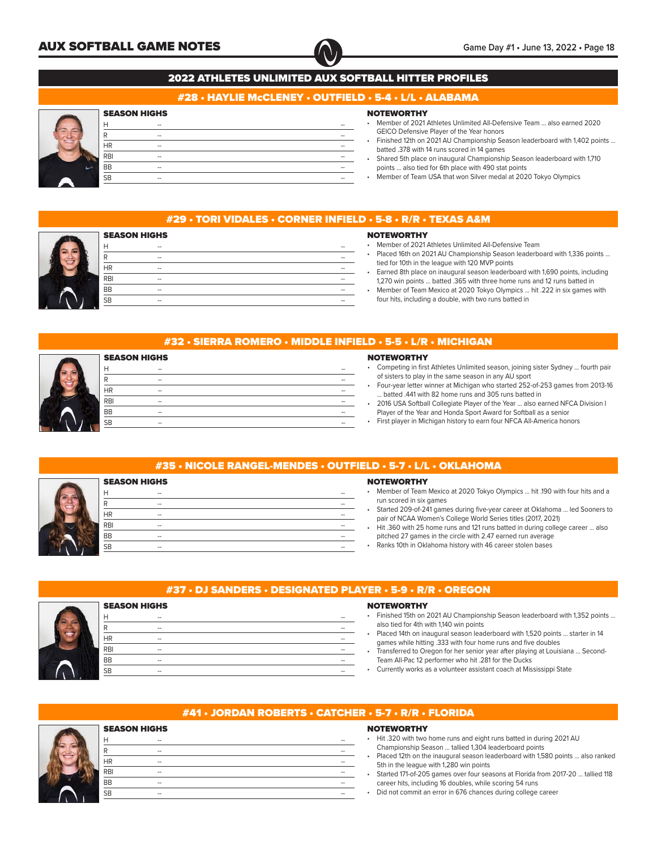

## #28 • HAYLIE McCLENEY • OUTFIELD • 5-4 • L/L • ALABAMA

## SEASON HIGHS

| Н          | $\hspace{0.05cm} -$ | --                       |
|------------|---------------------|--------------------------|
| R          | $\hspace{0.05cm} -$ | --                       |
| <b>HR</b>  | $\hspace{0.05cm} -$ | --                       |
| <b>RBI</b> | $\hspace{0.05cm} -$ | --                       |
| <b>BB</b>  | $\hspace{0.05cm} -$ | --                       |
| <b>SB</b>  | $\hspace{0.05cm} -$ | $\overline{\phantom{a}}$ |
|            |                     |                          |

## **NOTEWORTHY**

- Member of 2021 Athletes Unlimited All-Defensive Team ... also earned 2020 GEICO Defensive Player of the Year honors
- Finished 12th on 2021 AU Championship Season leaderboard with 1,402 points ... batted .378 with 14 runs scored in 14 games
- Shared 5th place on inaugural Championship Season leaderboard with 1,710 points ... also tied for 6th place with 490 stat points
- Member of Team USA that won Silver medal at 2020 Tokyo Olympics

## #29 • TORI VIDALES • CORNER INFIELD • 5-8 • R/R • TEXAS A&M



## **NOTEWORTHY**

- Member of 2021 Athletes Unlimited All-Defensive Team
- Placed 16th on 2021 AU Championship Season leaderboard with 1,336 points ... tied for 10th in the league with 120 MVP points
- Earned 8th place on inaugural season leaderboard with 1,690 points, including 1,270 win points ... batted .365 with three home runs and 12 runs batted in
- Member of Team Mexico at 2020 Tokyo Olympics ... hit .222 in six games with four hits, including a double, with two runs batted in

## #32 • SIERRA ROMERO • MIDDLE INFIELD • 5-5 • L/R • MICHIGAN

|            | <b>SEASON HIGHS</b>      |    |
|------------|--------------------------|----|
| Н          | $\overline{\phantom{a}}$ | -- |
| n          | --                       | -- |
| <b>HR</b>  | --                       | -- |
| <b>RBI</b> | $\overline{\phantom{a}}$ | -- |
| <b>BB</b>  | --                       | -- |
| <b>SB</b>  | $\overline{\phantom{a}}$ | -- |
|            |                          |    |

#### **NOTEWORTHY**

- Competing in first Athletes Unlimited season, joining sister Sydney ... fourth pair of sisters to play in the same season in any AU sport
- Four-year letter winner at Michigan who started 252-of-253 games from 2013-16 ... batted .441 with 82 home runs and 305 runs batted in
- 2016 USA Softball Collegiate Player of the Year ... also earned NFCA Division I Player of the Year and Honda Sport Award for Softball as a senior
- First player in Michigan history to earn four NFCA All-America honors

## #35 • NICOLE RANGEL-MENDES • OUTFIELD • 5-7 • L/L • OKLAHOMA

|            | <b>SEASON HIGHS</b> |    |  |
|------------|---------------------|----|--|
| Н          | --                  | -- |  |
| R          | $-$                 | -- |  |
| <b>HR</b>  | --                  | -- |  |
| <b>RBI</b> | --                  | -- |  |
| <b>BB</b>  | --                  |    |  |
| <b>SB</b>  | $-$                 | -- |  |

#### **NOTEWORTHY**

• Member of Team Mexico at 2020 Tokyo Olympics ... hit .190 with four hits and a run scored in six games

- Started 209-of-241 games during five-year career at Oklahoma ... led Sooners to pair of NCAA Women's College World Series titles (2017, 2021)
- Hit .360 with 25 home runs and 121 runs batted in during college career ... also pitched 27 games in the circle with 2.47 earned run average
- Ranks 10th in Oklahoma history with 46 career stolen bases



#### **NOTEWORTHY**

- Finished 15th on 2021 AU Championship Season leaderboard with 1,352 points ... also tied for 4th with 1,140 win points
- Placed 14th on inaugural season leaderboard with 1,520 points ... starter in 14 games while hitting .333 with four home runs and five doubles
- Transferred to Oregon for her senior year after playing at Louisiana ... Second-Team All-Pac 12 performer who hit .281 for the Ducks
- Currently works as a volunteer assistant coach at Mississippi State



| <b>SEASON HIGHS</b>      |    |  |  |  |
|--------------------------|----|--|--|--|
| --                       | -- |  |  |  |
| $\overline{\phantom{a}}$ | -- |  |  |  |
| --                       | -- |  |  |  |
| --                       | -- |  |  |  |
| --                       | -- |  |  |  |
| --                       | -- |  |  |  |
|                          |    |  |  |  |

## #41 • JORDAN ROBERTS • CATCHER • 5-7 • R/R • FLORIDA

# SEASON HIGHS

|     |     |  | Hit .320 with two home runs and eight runs batted in during 2021 AU                                                       |
|-----|-----|--|---------------------------------------------------------------------------------------------------------------------------|
|     | $-$ |  | Championship Season  tallied 1,304 leaderboard points                                                                     |
| HR  |     |  | Placed 12th on the inaugural season leaderboard with 1,580 points  also ranked<br>5th in the league with 1,280 win points |
| RBI | --  |  | Started 171-of-205 games over four seasons at Florida from 2017-20  tallied 118                                           |
| BВ  |     |  | career hits, including 16 doubles, while scoring 54 runs                                                                  |
| SB  | --  |  | Did not commit an error in 676 chances during college career                                                              |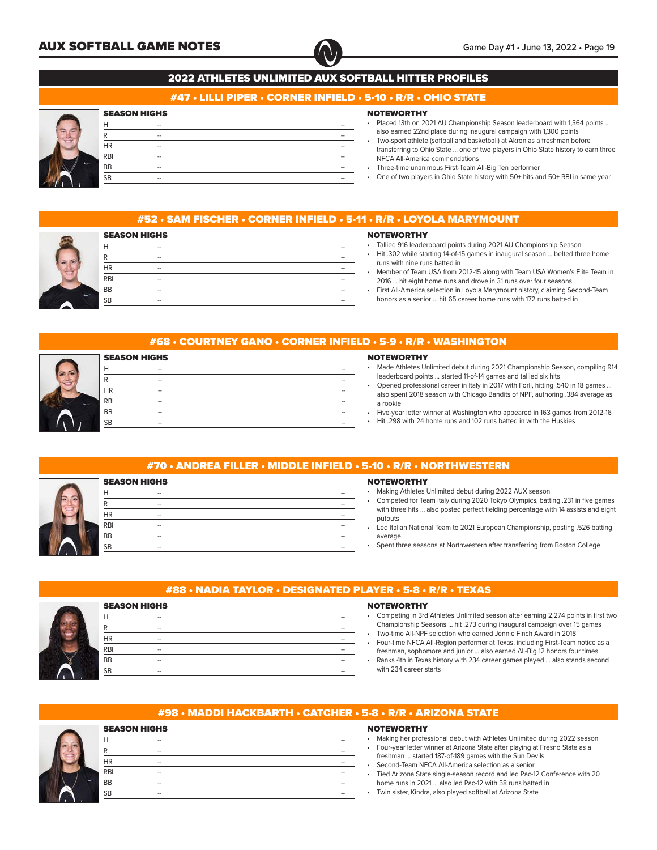

## #47 • LILLI PIPER • CORNER INFIELD • 5-10 • R/R • OHIO STATE

## SEASON HIGHS

|    | Н          | $\hspace{0.05cm} -$ | -- |
|----|------------|---------------------|----|
|    | רז         | $\hspace{0.05cm} -$ |    |
|    | <b>HR</b>  | $\hspace{0.05cm} -$ | -- |
|    | <b>RBI</b> | --                  | -- |
| A. | BB         | $\hspace{0.05cm} -$ | -- |
|    | SB         | $\hspace{0.05cm} -$ |    |
|    |            |                     |    |

## **NOTEWORTHY**

- Placed 13th on 2021 AU Championship Season leaderboard with 1,364 points ... also earned 22nd place during inaugural campaign with 1,300 points
- Two-sport athlete (softball and basketball) at Akron as a freshman before transferring to Ohio State ... one of two players in Ohio State history to earn three NFCA All-America commendations
- Three-time unanimous First-Team All-Big Ten performer
- One of two players in Ohio State history with 50+ hits and 50+ RBI in same year

## #52 • SAM FISCHER • CORNER INFIELD • 5-11 • R/R • LOYOLA MARYMOUNT

#### **NOTEWORTHY** • Tallied 916 leaderboard points during 2021 AU Championship Season

- SEASON HIGHS H -- -- R -- -- HR -- -- RBI -- -- BB -- -- SB -- --
- Hit .302 while starting 14-of-15 games in inaugural season ... belted three home runs with nine runs batted in
- Member of Team USA from 2012-15 along with Team USA Women's Elite Team in 2016 ... hit eight home runs and drove in 31 runs over four seasons
- First All-America selection in Loyola Marymount history, claiming Second-Team honors as a senior ... hit 65 career home runs with 172 runs batted in

## #68 • COURTNEY GANO • CORNER INFIELD • 5-9 • R/R • WASHINGTON

|            | <b>SEASON HIGHS</b> |    |
|------------|---------------------|----|
| Н          | --                  | -- |
| ₽          | --                  | -- |
| <b>HR</b>  | --                  | -- |
| <b>RBI</b> | --                  |    |
| <b>BB</b>  | $-$                 | -- |
| <b>SB</b>  | $\hspace{0.05cm}$   | -- |
|            |                     |    |

#### **NOTEWORTHY**

- Made Athletes Unlimited debut during 2021 Championship Season, compiling 914 leaderboard points ... started 11-of-14 games and tallied six hits
- Opened professional career in Italy in 2017 with Forli, hitting .540 in 18 games ... also spent 2018 season with Chicago Bandits of NPF, authoring .384 average as a rookie
- Five-year letter winner at Washington who appeared in 163 games from 2012-16
- Hit .298 with 24 home runs and 102 runs batted in with the Huskies

## #70 • ANDREA FILLER • MIDDLE INFIELD • 5-10 • R/R • NORTHWESTERN SEASON HIGHS H -- -- R -- -- HR -- -- RBI -- -- BB -- -- SB -- -- **NOTEWORTHY** putouts average

H -- -- R -- -- HR -- -- RBI -- -- BB -- -- SB -- --

• Making Athletes Unlimited debut during 2022 AUX season

- Competed for Team Italy during 2020 Tokyo Olympics, batting .231 in five games with three hits ... also posted perfect fielding percentage with 14 assists and eight
- Led Italian National Team to 2021 European Championship, posting .526 batting
- Spent three seasons at Northwestern after transferring from Boston College



## #88 • NADIA TAYLOR • DESIGNATED PLAYER • 5-8 • R/R • TEXAS

## **NOTEWORTHY**

- Competing in 3rd Athletes Unlimited season after earning 2,274 points in first two Championship Seasons ... hit .273 during inaugural campaign over 15 games
- Two-time All-NPF selection who earned Jennie Finch Award in 2018 • Four-time NFCA All-Region performer at Texas, including First-Team notice as a
- freshman, sophomore and junior ... also earned All-Big 12 honors four times • Ranks 4th in Texas history with 234 career games played ... also stands second
- with 234 career starts

## #98 • MADDI HACKBARTH • CATCHER • 5-8 • R/R • ARIZONA STATE

## SEASON HIGHS

SEASON HIGHS

| Н                      | $\overline{\phantom{a}}$ | --                       |
|------------------------|--------------------------|--------------------------|
| R                      | $\overline{\phantom{a}}$ | $\overline{\phantom{a}}$ |
| HR                     | $\overline{\phantom{a}}$ | $\overline{\phantom{a}}$ |
| R <sub>B1</sub>        | $\overline{\phantom{a}}$ | $\overline{\phantom{a}}$ |
| $\overline{BB}$        | $\overline{\phantom{a}}$ | $\overline{\phantom{a}}$ |
| $\overline{\text{SB}}$ | $\overline{\phantom{a}}$ | $\overline{\phantom{a}}$ |
|                        |                          |                          |

- Making her professional debut with Athletes Unlimited during 2022 season • Four-year letter winner at Arizona State after playing at Fresno State as a freshman ... started 187-of-189 games with the Sun Devils
- Second-Team NFCA All-America selection as a senior
- Tied Arizona State single-season record and led Pac-12 Conference with 20 home runs in 2021 ... also led Pac-12 with 58 runs batted in
- Twin sister, Kindra, also played softball at Arizona State